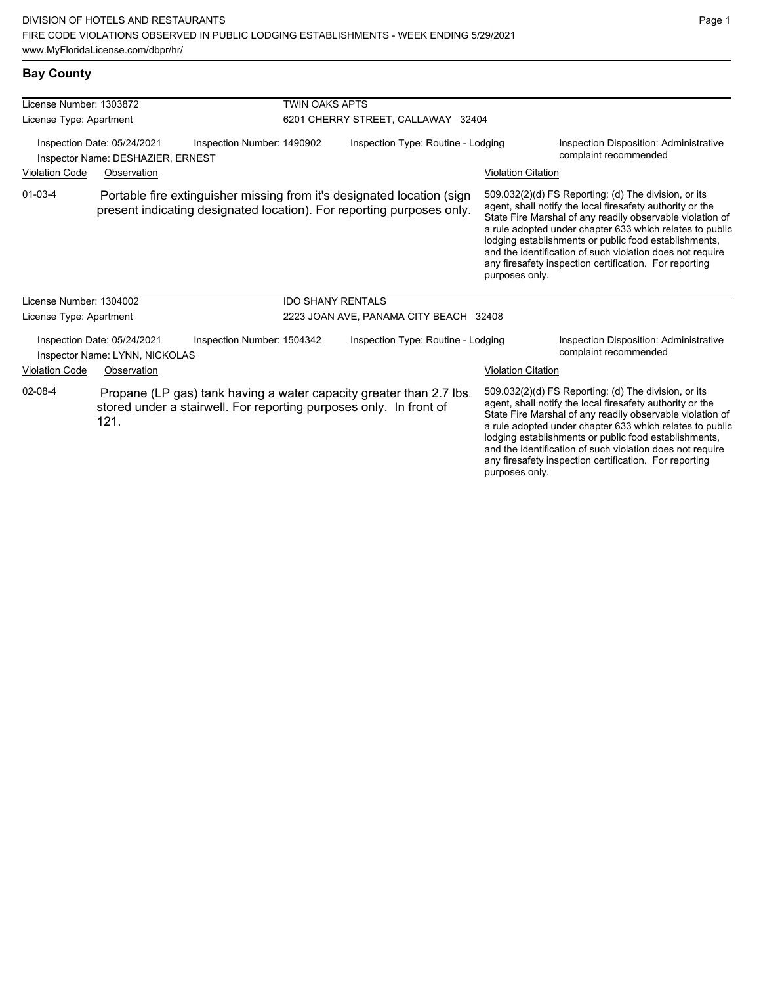## **Bay County**

| License Number: 1303872                                          |                                                               |                            | <b>TWIN OAKS APTS</b>              |                                                                                                                                                 |                           |                                                                                                                                                                                                                                                                                                                                                                                                                            |  |
|------------------------------------------------------------------|---------------------------------------------------------------|----------------------------|------------------------------------|-------------------------------------------------------------------------------------------------------------------------------------------------|---------------------------|----------------------------------------------------------------------------------------------------------------------------------------------------------------------------------------------------------------------------------------------------------------------------------------------------------------------------------------------------------------------------------------------------------------------------|--|
| License Type: Apartment                                          |                                                               |                            |                                    | 6201 CHERRY STREET, CALLAWAY 32404                                                                                                              |                           |                                                                                                                                                                                                                                                                                                                                                                                                                            |  |
| Inspection Date: 05/24/2021<br>Inspector Name: DESHAZIER, ERNEST |                                                               | Inspection Number: 1490902 | Inspection Type: Routine - Lodging |                                                                                                                                                 |                           | <b>Inspection Disposition: Administrative</b><br>complaint recommended                                                                                                                                                                                                                                                                                                                                                     |  |
| <b>Violation Code</b>                                            | Observation                                                   |                            |                                    |                                                                                                                                                 | <b>Violation Citation</b> |                                                                                                                                                                                                                                                                                                                                                                                                                            |  |
| $01 - 03 - 4$                                                    |                                                               |                            |                                    | Portable fire extinguisher missing from it's designated location (sign<br>present indicating designated location). For reporting purposes only. | purposes only.            | 509.032(2)(d) FS Reporting: (d) The division, or its<br>agent, shall notify the local firesafety authority or the<br>State Fire Marshal of any readily observable violation of<br>a rule adopted under chapter 633 which relates to public<br>lodging establishments or public food establishments,<br>and the identification of such violation does not require<br>any firesafety inspection certification. For reporting |  |
| License Number: 1304002                                          |                                                               |                            | <b>IDO SHANY RENTALS</b>           |                                                                                                                                                 |                           |                                                                                                                                                                                                                                                                                                                                                                                                                            |  |
| License Type: Apartment                                          |                                                               |                            |                                    | 2223 JOAN AVE, PANAMA CITY BEACH 32408                                                                                                          |                           |                                                                                                                                                                                                                                                                                                                                                                                                                            |  |
|                                                                  | Inspection Date: 05/24/2021<br>Inspector Name: LYNN, NICKOLAS | Inspection Number: 1504342 |                                    | Inspection Type: Routine - Lodging                                                                                                              |                           | <b>Inspection Disposition: Administrative</b><br>complaint recommended                                                                                                                                                                                                                                                                                                                                                     |  |
| <b>Violation Code</b>                                            | Observation                                                   |                            |                                    |                                                                                                                                                 | <b>Violation Citation</b> |                                                                                                                                                                                                                                                                                                                                                                                                                            |  |
| 02-08-4                                                          | 121.                                                          |                            |                                    | Propane (LP gas) tank having a water capacity greater than 2.7 lbs.<br>stored under a stairwell. For reporting purposes only. In front of       |                           | 509.032(2)(d) FS Reporting: (d) The division, or its<br>agent, shall notify the local firesafety authority or the<br>State Fire Marshal of any readily observable violation of<br>a rule adopted under chapter 633 which relates to public<br>lodging establishments or public food establishments,<br>and the identification of such violation does not require                                                           |  |

any firesafety inspection certification. For reporting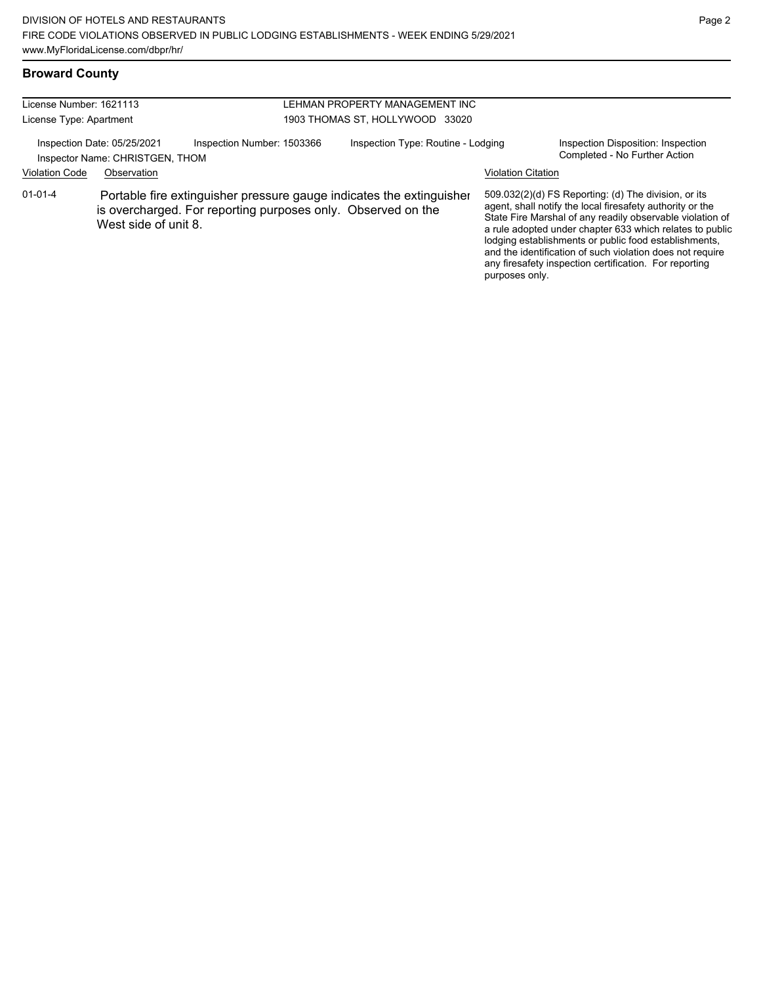# **Broward County**

| License Number: 1621113 |                                                                |                                                                                                                                      | LEHMAN PROPERTY MANAGEMENT INC |                                    |                           |                                                                                                                                                                                                                                                                                                                                                                                                                            |  |
|-------------------------|----------------------------------------------------------------|--------------------------------------------------------------------------------------------------------------------------------------|--------------------------------|------------------------------------|---------------------------|----------------------------------------------------------------------------------------------------------------------------------------------------------------------------------------------------------------------------------------------------------------------------------------------------------------------------------------------------------------------------------------------------------------------------|--|
| License Type: Apartment |                                                                |                                                                                                                                      |                                | 1903 THOMAS ST, HOLLYWOOD 33020    |                           |                                                                                                                                                                                                                                                                                                                                                                                                                            |  |
|                         | Inspection Date: 05/25/2021<br>Inspector Name: CHRISTGEN, THOM | Inspection Number: 1503366                                                                                                           |                                | Inspection Type: Routine - Lodging |                           | Inspection Disposition: Inspection<br>Completed - No Further Action                                                                                                                                                                                                                                                                                                                                                        |  |
| <b>Violation Code</b>   | Observation                                                    |                                                                                                                                      |                                |                                    | <b>Violation Citation</b> |                                                                                                                                                                                                                                                                                                                                                                                                                            |  |
| $01 - 01 - 4$           | West side of unit 8.                                           | Portable fire extinguisher pressure gauge indicates the extinguisher<br>is overcharged. For reporting purposes only. Observed on the |                                |                                    | purposes only.            | 509.032(2)(d) FS Reporting: (d) The division, or its<br>agent, shall notify the local firesafety authority or the<br>State Fire Marshal of any readily observable violation of<br>a rule adopted under chapter 633 which relates to public<br>lodging establishments or public food establishments,<br>and the identification of such violation does not require<br>any firesafety inspection certification. For reporting |  |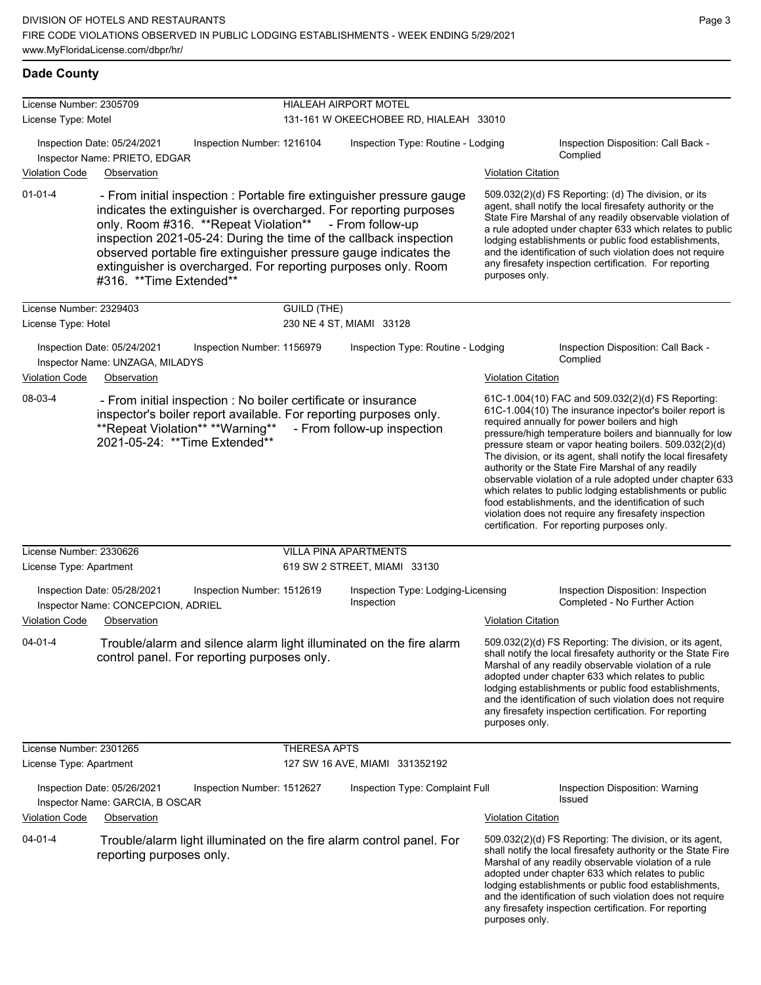## **Dade County**

| License Number: 2305709 |                                                                                                                                                                                                                                                                                                                                                                                                                                            |                     | <b>HIALEAH AIRPORT MOTEL</b>                     |                                                 |                                                                                                                                                                                                                                                                                                                                                                                                                                                                                                                                                                                                                                                                                                 |  |
|-------------------------|--------------------------------------------------------------------------------------------------------------------------------------------------------------------------------------------------------------------------------------------------------------------------------------------------------------------------------------------------------------------------------------------------------------------------------------------|---------------------|--------------------------------------------------|-------------------------------------------------|-------------------------------------------------------------------------------------------------------------------------------------------------------------------------------------------------------------------------------------------------------------------------------------------------------------------------------------------------------------------------------------------------------------------------------------------------------------------------------------------------------------------------------------------------------------------------------------------------------------------------------------------------------------------------------------------------|--|
| License Type: Motel     |                                                                                                                                                                                                                                                                                                                                                                                                                                            |                     | 131-161 W OKEECHOBEE RD, HIALEAH 33010           |                                                 |                                                                                                                                                                                                                                                                                                                                                                                                                                                                                                                                                                                                                                                                                                 |  |
|                         | Inspection Date: 05/24/2021<br>Inspection Number: 1216104<br>Inspector Name: PRIETO, EDGAR                                                                                                                                                                                                                                                                                                                                                 |                     | Inspection Type: Routine - Lodging               | Inspection Disposition: Call Back -<br>Complied |                                                                                                                                                                                                                                                                                                                                                                                                                                                                                                                                                                                                                                                                                                 |  |
| <b>Violation Code</b>   | Observation                                                                                                                                                                                                                                                                                                                                                                                                                                |                     |                                                  | <b>Violation Citation</b>                       |                                                                                                                                                                                                                                                                                                                                                                                                                                                                                                                                                                                                                                                                                                 |  |
| $01 - 01 - 4$           | - From initial inspection : Portable fire extinguisher pressure gauge<br>indicates the extinguisher is overcharged. For reporting purposes<br>only. Room #316. **Repeat Violation** - From follow-up<br>inspection 2021-05-24: During the time of the callback inspection<br>observed portable fire extinguisher pressure gauge indicates the<br>extinguisher is overcharged. For reporting purposes only. Room<br>#316. **Time Extended** |                     |                                                  | purposes only.                                  | 509.032(2)(d) FS Reporting: (d) The division, or its<br>agent, shall notify the local firesafety authority or the<br>State Fire Marshal of any readily observable violation of<br>a rule adopted under chapter 633 which relates to public<br>lodging establishments or public food establishments,<br>and the identification of such violation does not require<br>any firesafety inspection certification. For reporting                                                                                                                                                                                                                                                                      |  |
| License Number: 2329403 |                                                                                                                                                                                                                                                                                                                                                                                                                                            | <b>GUILD (THE)</b>  |                                                  |                                                 |                                                                                                                                                                                                                                                                                                                                                                                                                                                                                                                                                                                                                                                                                                 |  |
| License Type: Hotel     |                                                                                                                                                                                                                                                                                                                                                                                                                                            |                     | 230 NE 4 ST, MIAMI 33128                         |                                                 |                                                                                                                                                                                                                                                                                                                                                                                                                                                                                                                                                                                                                                                                                                 |  |
|                         | Inspection Date: 05/24/2021<br>Inspection Number: 1156979<br>Inspector Name: UNZAGA, MILADYS                                                                                                                                                                                                                                                                                                                                               |                     | Inspection Type: Routine - Lodging               |                                                 | Inspection Disposition: Call Back -<br>Complied                                                                                                                                                                                                                                                                                                                                                                                                                                                                                                                                                                                                                                                 |  |
| <b>Violation Code</b>   | Observation                                                                                                                                                                                                                                                                                                                                                                                                                                |                     |                                                  | <b>Violation Citation</b>                       |                                                                                                                                                                                                                                                                                                                                                                                                                                                                                                                                                                                                                                                                                                 |  |
| 08-03-4                 | - From initial inspection : No boiler certificate or insurance<br>inspector's boiler report available. For reporting purposes only.<br>**Repeat Violation** **Warning**<br>2021-05-24: **Time Extended**                                                                                                                                                                                                                                   |                     | - From follow-up inspection                      |                                                 | 61C-1.004(10) FAC and 509.032(2)(d) FS Reporting:<br>61C-1.004(10) The insurance inpector's boiler report is<br>required annually for power boilers and high<br>pressure/high temperature boilers and biannually for low<br>pressure steam or vapor heating boilers. 509.032(2)(d)<br>The division, or its agent, shall notify the local firesafety<br>authority or the State Fire Marshal of any readily<br>observable violation of a rule adopted under chapter 633<br>which relates to public lodging establishments or public<br>food establishments, and the identification of such<br>violation does not require any firesafety inspection<br>certification. For reporting purposes only. |  |
| License Number: 2330626 |                                                                                                                                                                                                                                                                                                                                                                                                                                            |                     | <b>VILLA PINA APARTMENTS</b>                     |                                                 |                                                                                                                                                                                                                                                                                                                                                                                                                                                                                                                                                                                                                                                                                                 |  |
| License Type: Apartment |                                                                                                                                                                                                                                                                                                                                                                                                                                            |                     | 619 SW 2 STREET, MIAMI 33130                     |                                                 |                                                                                                                                                                                                                                                                                                                                                                                                                                                                                                                                                                                                                                                                                                 |  |
|                         | Inspection Date: 05/28/2021<br>Inspection Number: 1512619<br>Inspector Name: CONCEPCION, ADRIEL                                                                                                                                                                                                                                                                                                                                            |                     | Inspection Type: Lodging-Licensing<br>Inspection |                                                 | Inspection Disposition: Inspection<br>Completed - No Further Action                                                                                                                                                                                                                                                                                                                                                                                                                                                                                                                                                                                                                             |  |
| <b>Violation Code</b>   | Observation                                                                                                                                                                                                                                                                                                                                                                                                                                |                     |                                                  | <b>Violation Citation</b>                       |                                                                                                                                                                                                                                                                                                                                                                                                                                                                                                                                                                                                                                                                                                 |  |
| 04-01-4                 | Trouble/alarm and silence alarm light illuminated on the fire alarm<br>control panel. For reporting purposes only.                                                                                                                                                                                                                                                                                                                         |                     |                                                  | purposes only.                                  | 509.032(2)(d) FS Reporting: The division, or its agent,<br>shall notify the local firesafety authority or the State Fire<br>Marshal of any readily observable violation of a rule<br>adopted under chapter 633 which relates to public<br>lodging establishments or public food establishments,<br>and the identification of such violation does not require<br>any firesafety inspection certification. For reporting                                                                                                                                                                                                                                                                          |  |
| License Number: 2301265 |                                                                                                                                                                                                                                                                                                                                                                                                                                            | <b>THERESA APTS</b> |                                                  |                                                 |                                                                                                                                                                                                                                                                                                                                                                                                                                                                                                                                                                                                                                                                                                 |  |
| License Type: Apartment |                                                                                                                                                                                                                                                                                                                                                                                                                                            |                     | 127 SW 16 AVE, MIAMI 331352192                   |                                                 |                                                                                                                                                                                                                                                                                                                                                                                                                                                                                                                                                                                                                                                                                                 |  |
|                         | Inspection Date: 05/26/2021<br>Inspection Number: 1512627<br>Inspector Name: GARCIA, B OSCAR                                                                                                                                                                                                                                                                                                                                               |                     | Inspection Type: Complaint Full                  |                                                 | Inspection Disposition: Warning<br><b>Issued</b>                                                                                                                                                                                                                                                                                                                                                                                                                                                                                                                                                                                                                                                |  |
| <b>Violation Code</b>   | Observation                                                                                                                                                                                                                                                                                                                                                                                                                                |                     |                                                  | <b>Violation Citation</b>                       |                                                                                                                                                                                                                                                                                                                                                                                                                                                                                                                                                                                                                                                                                                 |  |
| $04 - 01 - 4$           | Trouble/alarm light illuminated on the fire alarm control panel. For<br>reporting purposes only.                                                                                                                                                                                                                                                                                                                                           |                     |                                                  | purposes only.                                  | 509.032(2)(d) FS Reporting: The division, or its agent,<br>shall notify the local firesafety authority or the State Fire<br>Marshal of any readily observable violation of a rule<br>adopted under chapter 633 which relates to public<br>lodging establishments or public food establishments,<br>and the identification of such violation does not require<br>any firesafety inspection certification. For reporting                                                                                                                                                                                                                                                                          |  |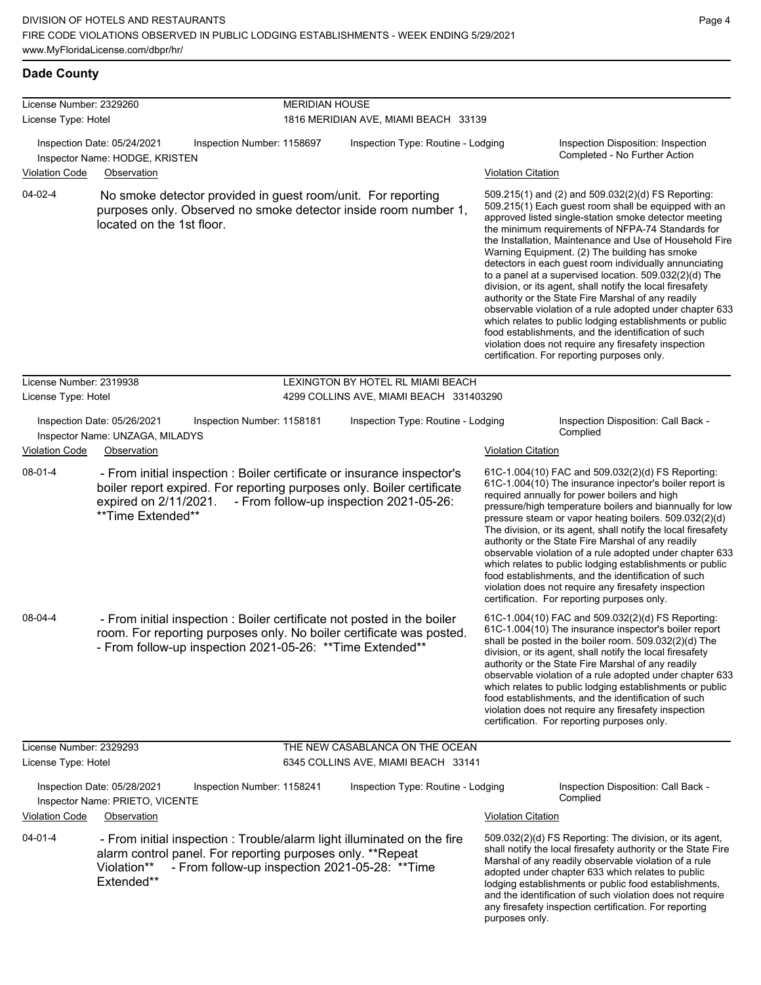**Dade County**

| License Number: 2329260                        |                                                                                                                                                                                                                       | <b>MERIDIAN HOUSE</b>                                                        |                           |                                                                                                                                                                                                                                                                                                                                                                                                                                                                                                                                                                                                                                                                                                                                                                                                                                                                   |  |  |  |
|------------------------------------------------|-----------------------------------------------------------------------------------------------------------------------------------------------------------------------------------------------------------------------|------------------------------------------------------------------------------|---------------------------|-------------------------------------------------------------------------------------------------------------------------------------------------------------------------------------------------------------------------------------------------------------------------------------------------------------------------------------------------------------------------------------------------------------------------------------------------------------------------------------------------------------------------------------------------------------------------------------------------------------------------------------------------------------------------------------------------------------------------------------------------------------------------------------------------------------------------------------------------------------------|--|--|--|
| License Type: Hotel                            |                                                                                                                                                                                                                       | 1816 MERIDIAN AVE, MIAMI BEACH 33139                                         |                           |                                                                                                                                                                                                                                                                                                                                                                                                                                                                                                                                                                                                                                                                                                                                                                                                                                                                   |  |  |  |
|                                                | Inspection Date: 05/24/2021<br>Inspection Number: 1158697<br>Inspector Name: HODGE, KRISTEN                                                                                                                           | Inspection Type: Routine - Lodging                                           |                           | Inspection Disposition: Inspection<br>Completed - No Further Action                                                                                                                                                                                                                                                                                                                                                                                                                                                                                                                                                                                                                                                                                                                                                                                               |  |  |  |
| <b>Violation Code</b>                          | Observation                                                                                                                                                                                                           |                                                                              | <b>Violation Citation</b> |                                                                                                                                                                                                                                                                                                                                                                                                                                                                                                                                                                                                                                                                                                                                                                                                                                                                   |  |  |  |
| 04-02-4                                        | No smoke detector provided in guest room/unit. For reporting<br>purposes only. Observed no smoke detector inside room number 1,<br>located on the 1st floor.                                                          |                                                                              |                           | 509.215(1) and (2) and 509.032(2)(d) FS Reporting:<br>509.215(1) Each guest room shall be equipped with an<br>approved listed single-station smoke detector meeting<br>the minimum requirements of NFPA-74 Standards for<br>the Installation, Maintenance and Use of Household Fire<br>Warning Equipment. (2) The building has smoke<br>detectors in each quest room individually annunciating<br>to a panel at a supervised location. 509.032(2)(d) The<br>division, or its agent, shall notify the local firesafety<br>authority or the State Fire Marshal of any readily<br>observable violation of a rule adopted under chapter 633<br>which relates to public lodging establishments or public<br>food establishments, and the identification of such<br>violation does not require any firesafety inspection<br>certification. For reporting purposes only. |  |  |  |
| License Number: 2319938<br>License Type: Hotel |                                                                                                                                                                                                                       | LEXINGTON BY HOTEL RL MIAMI BEACH<br>4299 COLLINS AVE, MIAMI BEACH 331403290 |                           |                                                                                                                                                                                                                                                                                                                                                                                                                                                                                                                                                                                                                                                                                                                                                                                                                                                                   |  |  |  |
|                                                | Inspection Date: 05/26/2021<br>Inspection Number: 1158181<br>Inspector Name: UNZAGA, MILADYS                                                                                                                          | Inspection Type: Routine - Lodging                                           |                           | Inspection Disposition: Call Back -<br>Complied                                                                                                                                                                                                                                                                                                                                                                                                                                                                                                                                                                                                                                                                                                                                                                                                                   |  |  |  |
| <b>Violation Code</b>                          | Observation                                                                                                                                                                                                           |                                                                              | <b>Violation Citation</b> |                                                                                                                                                                                                                                                                                                                                                                                                                                                                                                                                                                                                                                                                                                                                                                                                                                                                   |  |  |  |
| 08-01-4                                        | - From initial inspection : Boiler certificate or insurance inspector's<br>boiler report expired. For reporting purposes only. Boiler certificate<br>expired on 2/11/2021.<br>**Time Extended**                       | - From follow-up inspection 2021-05-26:                                      |                           | 61C-1.004(10) FAC and 509.032(2)(d) FS Reporting:<br>61C-1.004(10) The insurance inpector's boiler report is<br>required annually for power boilers and high<br>pressure/high temperature boilers and biannually for low<br>pressure steam or vapor heating boilers. 509.032(2)(d)<br>The division, or its agent, shall notify the local firesafety<br>authority or the State Fire Marshal of any readily<br>observable violation of a rule adopted under chapter 633<br>which relates to public lodging establishments or public<br>food establishments, and the identification of such<br>violation does not require any firesafety inspection<br>certification. For reporting purposes only.                                                                                                                                                                   |  |  |  |
| 08-04-4                                        | - From initial inspection : Boiler certificate not posted in the boiler<br>room. For reporting purposes only. No boiler certificate was posted.<br>- From follow-up inspection 2021-05-26: ** Time Extended**         |                                                                              |                           | 61C-1.004(10) FAC and 509.032(2)(d) FS Reporting:<br>61C-1.004(10) The insurance inspector's boiler report<br>shall be posted in the boiler room. 509.032(2)(d) The<br>division, or its agent, shall notify the local firesafety<br>authority or the State Fire Marshal of any readily<br>observable violation of a rule adopted under chapter 633<br>which relates to public lodging establishments or public<br>food establishments, and the identification of such<br>violation does not require any firesafety inspection<br>certification. For reporting purposes only.                                                                                                                                                                                                                                                                                      |  |  |  |
| License Number: 2329293                        |                                                                                                                                                                                                                       | THE NEW CASABLANCA ON THE OCEAN                                              |                           |                                                                                                                                                                                                                                                                                                                                                                                                                                                                                                                                                                                                                                                                                                                                                                                                                                                                   |  |  |  |
| License Type: Hotel                            |                                                                                                                                                                                                                       | 6345 COLLINS AVE, MIAMI BEACH 33141                                          |                           |                                                                                                                                                                                                                                                                                                                                                                                                                                                                                                                                                                                                                                                                                                                                                                                                                                                                   |  |  |  |
| <b>Violation Code</b>                          | Inspection Date: 05/28/2021<br>Inspection Number: 1158241<br>Inspector Name: PRIETO, VICENTE<br>Observation                                                                                                           | Inspection Type: Routine - Lodging                                           | <b>Violation Citation</b> | Inspection Disposition: Call Back -<br>Complied                                                                                                                                                                                                                                                                                                                                                                                                                                                                                                                                                                                                                                                                                                                                                                                                                   |  |  |  |
| $04 - 01 - 4$                                  |                                                                                                                                                                                                                       |                                                                              |                           |                                                                                                                                                                                                                                                                                                                                                                                                                                                                                                                                                                                                                                                                                                                                                                                                                                                                   |  |  |  |
|                                                | - From initial inspection : Trouble/alarm light illuminated on the fire<br>alarm control panel. For reporting purposes only. **Repeat<br>- From follow-up inspection 2021-05-28: ** Time<br>Violation**<br>Extended** |                                                                              |                           | 509.032(2)(d) FS Reporting: The division, or its agent,<br>shall notify the local firesafety authority or the State Fire<br>Marshal of any readily observable violation of a rule<br>adopted under chapter 633 which relates to public<br>lodging establishments or public food establishments,<br>and the identification of such violation does not require<br>any firesafety inspection certification. For reporting                                                                                                                                                                                                                                                                                                                                                                                                                                            |  |  |  |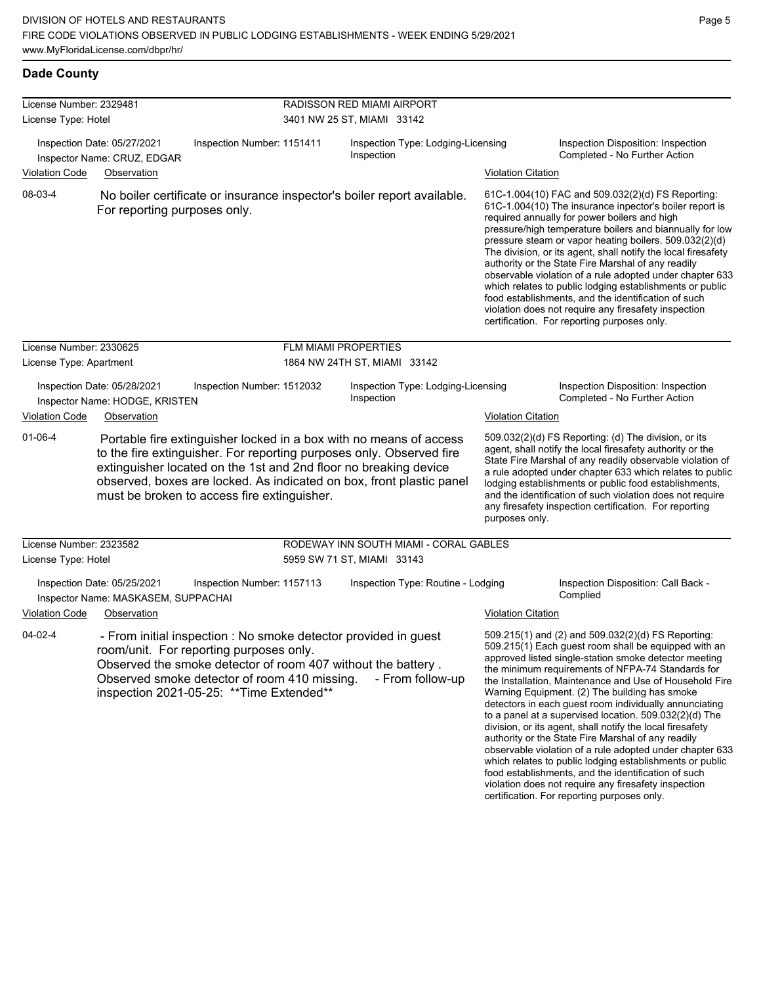## **Dade County**

| License Number: 2329481 |                                                                                   |                                                                                                                                      | RADISSON RED MIAMI AIRPORT<br>3401 NW 25 ST, MIAMI 33142 |                                                                                                                                                                                                                                                                                        |                           |                                                                                                                                                                                                                                                                                                                                                                                                                                                                                                                                                                                                                                                                                                                                                              |  |
|-------------------------|-----------------------------------------------------------------------------------|--------------------------------------------------------------------------------------------------------------------------------------|----------------------------------------------------------|----------------------------------------------------------------------------------------------------------------------------------------------------------------------------------------------------------------------------------------------------------------------------------------|---------------------------|--------------------------------------------------------------------------------------------------------------------------------------------------------------------------------------------------------------------------------------------------------------------------------------------------------------------------------------------------------------------------------------------------------------------------------------------------------------------------------------------------------------------------------------------------------------------------------------------------------------------------------------------------------------------------------------------------------------------------------------------------------------|--|
| License Type: Hotel     |                                                                                   |                                                                                                                                      |                                                          |                                                                                                                                                                                                                                                                                        |                           |                                                                                                                                                                                                                                                                                                                                                                                                                                                                                                                                                                                                                                                                                                                                                              |  |
|                         | Inspection Date: 05/27/2021<br>Inspector Name: CRUZ, EDGAR                        | Inspection Number: 1151411                                                                                                           |                                                          | Inspection Type: Lodging-Licensing<br>Inspection                                                                                                                                                                                                                                       |                           | Inspection Disposition: Inspection<br>Completed - No Further Action                                                                                                                                                                                                                                                                                                                                                                                                                                                                                                                                                                                                                                                                                          |  |
| <b>Violation Code</b>   | Observation                                                                       |                                                                                                                                      |                                                          |                                                                                                                                                                                                                                                                                        | <b>Violation Citation</b> |                                                                                                                                                                                                                                                                                                                                                                                                                                                                                                                                                                                                                                                                                                                                                              |  |
| 08-03-4                 | For reporting purposes only.                                                      |                                                                                                                                      |                                                          | No boiler certificate or insurance inspector's boiler report available.                                                                                                                                                                                                                |                           | 61C-1.004(10) FAC and 509.032(2)(d) FS Reporting:<br>61C-1.004(10) The insurance inpector's boiler report is<br>required annually for power boilers and high<br>pressure/high temperature boilers and biannually for low<br>pressure steam or vapor heating boilers. 509.032(2)(d)<br>The division, or its agent, shall notify the local firesafety<br>authority or the State Fire Marshal of any readily<br>observable violation of a rule adopted under chapter 633<br>which relates to public lodging establishments or public<br>food establishments, and the identification of such<br>violation does not require any firesafety inspection<br>certification. For reporting purposes only.                                                              |  |
| License Number: 2330625 |                                                                                   |                                                                                                                                      |                                                          | <b>FLM MIAMI PROPERTIES</b>                                                                                                                                                                                                                                                            |                           |                                                                                                                                                                                                                                                                                                                                                                                                                                                                                                                                                                                                                                                                                                                                                              |  |
| License Type: Apartment |                                                                                   |                                                                                                                                      |                                                          | 1864 NW 24TH ST, MIAMI 33142                                                                                                                                                                                                                                                           |                           |                                                                                                                                                                                                                                                                                                                                                                                                                                                                                                                                                                                                                                                                                                                                                              |  |
|                         | Inspection Date: 05/28/2021<br>Inspector Name: HODGE, KRISTEN                     | Inspection Number: 1512032                                                                                                           |                                                          | Inspection Type: Lodging-Licensing<br>Inspection                                                                                                                                                                                                                                       |                           | Inspection Disposition: Inspection<br>Completed - No Further Action                                                                                                                                                                                                                                                                                                                                                                                                                                                                                                                                                                                                                                                                                          |  |
| <b>Violation Code</b>   | Observation                                                                       |                                                                                                                                      |                                                          |                                                                                                                                                                                                                                                                                        | <b>Violation Citation</b> |                                                                                                                                                                                                                                                                                                                                                                                                                                                                                                                                                                                                                                                                                                                                                              |  |
| $01 - 06 - 4$           |                                                                                   | must be broken to access fire extinguisher.                                                                                          |                                                          | Portable fire extinguisher locked in a box with no means of access<br>to the fire extinguisher. For reporting purposes only. Observed fire<br>extinguisher located on the 1st and 2nd floor no breaking device<br>observed, boxes are locked. As indicated on box, front plastic panel | purposes only.            | 509.032(2)(d) FS Reporting: (d) The division, or its<br>agent, shall notify the local firesafety authority or the<br>State Fire Marshal of any readily observable violation of<br>a rule adopted under chapter 633 which relates to public<br>lodging establishments or public food establishments,<br>and the identification of such violation does not require<br>any firesafety inspection certification. For reporting                                                                                                                                                                                                                                                                                                                                   |  |
| License Number: 2323582 |                                                                                   |                                                                                                                                      |                                                          | RODEWAY INN SOUTH MIAMI - CORAL GABLES                                                                                                                                                                                                                                                 |                           |                                                                                                                                                                                                                                                                                                                                                                                                                                                                                                                                                                                                                                                                                                                                                              |  |
| License Type: Hotel     |                                                                                   |                                                                                                                                      |                                                          | 5959 SW 71 ST, MIAMI 33143                                                                                                                                                                                                                                                             |                           |                                                                                                                                                                                                                                                                                                                                                                                                                                                                                                                                                                                                                                                                                                                                                              |  |
| <b>Violation Code</b>   | Inspection Date: 05/25/2021<br>Inspector Name: MASKASEM, SUPPACHAI<br>Observation | Inspection Number: 1157113                                                                                                           |                                                          | Inspection Type: Routine - Lodging                                                                                                                                                                                                                                                     | <b>Violation Citation</b> | Inspection Disposition: Call Back -<br>Complied                                                                                                                                                                                                                                                                                                                                                                                                                                                                                                                                                                                                                                                                                                              |  |
| 04-02-4                 |                                                                                   | room/unit. For reporting purposes only.<br>Observed smoke detector of room 410 missing.<br>inspection 2021-05-25: ** Time Extended** |                                                          | - From initial inspection : No smoke detector provided in guest<br>Observed the smoke detector of room 407 without the battery.<br>- From follow-up                                                                                                                                    |                           | 509.215(1) and (2) and 509.032(2)(d) FS Reporting:<br>509.215(1) Each guest room shall be equipped with an<br>approved listed single-station smoke detector meeting<br>the minimum requirements of NFPA-74 Standards for<br>the Installation, Maintenance and Use of Household Fire<br>Warning Equipment. (2) The building has smoke<br>detectors in each guest room individually annunciating<br>to a panel at a supervised location. $509.032(2)(d)$ The<br>division, or its agent, shall notify the local firesafety<br>authority or the State Fire Marshal of any readily<br>observable violation of a rule adopted under chapter 633<br>which relates to public lodging establishments or public<br>food establishments, and the identification of such |  |

violation does not require any firesafety inspection certification. For reporting purposes only.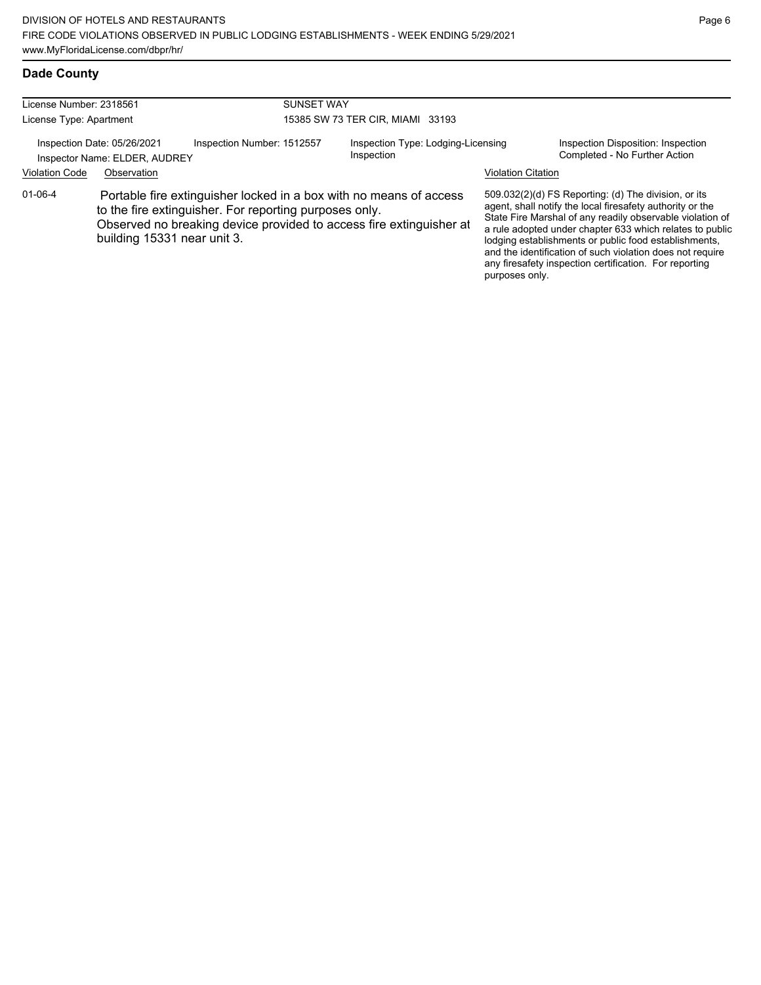| <b>Dade County</b> |
|--------------------|

| License Number: 2318561 |                                                              |                                                        | <b>SUNSET WAY</b> |                                                                                                                                           |                           |                                                                                                                                                                                                                                                                                                                                                                                                                            |  |
|-------------------------|--------------------------------------------------------------|--------------------------------------------------------|-------------------|-------------------------------------------------------------------------------------------------------------------------------------------|---------------------------|----------------------------------------------------------------------------------------------------------------------------------------------------------------------------------------------------------------------------------------------------------------------------------------------------------------------------------------------------------------------------------------------------------------------------|--|
| License Type: Apartment |                                                              | 15385 SW 73 TER CIR, MIAMI 33193                       |                   |                                                                                                                                           |                           |                                                                                                                                                                                                                                                                                                                                                                                                                            |  |
|                         | Inspection Date: 05/26/2021<br>Inspector Name: ELDER, AUDREY | Inspection Number: 1512557                             |                   | Inspection Type: Lodging-Licensing<br>Inspection                                                                                          |                           | Inspection Disposition: Inspection<br>Completed - No Further Action                                                                                                                                                                                                                                                                                                                                                        |  |
| <b>Violation Code</b>   | Observation                                                  |                                                        |                   |                                                                                                                                           | <b>Violation Citation</b> |                                                                                                                                                                                                                                                                                                                                                                                                                            |  |
| $01 - 06 - 4$           | building 15331 near unit 3.                                  | to the fire extinguisher. For reporting purposes only. |                   | Portable fire extinguisher locked in a box with no means of access<br>Observed no breaking device provided to access fire extinguisher at | purposes only.            | 509.032(2)(d) FS Reporting: (d) The division, or its<br>agent, shall notify the local firesafety authority or the<br>State Fire Marshal of any readily observable violation of<br>a rule adopted under chapter 633 which relates to public<br>lodging establishments or public food establishments,<br>and the identification of such violation does not require<br>any firesafety inspection certification. For reporting |  |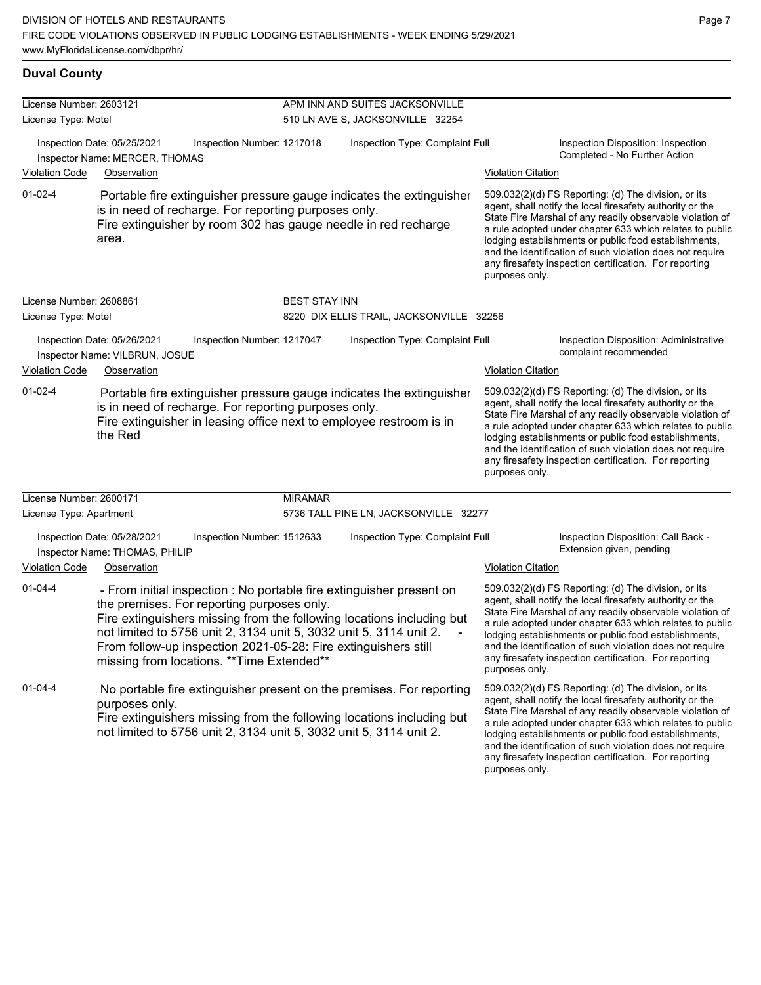| License Number: 2603121                                                                                                                                                                                                   |                                                                                                                                                                                                                                                                                                                                                                                   |                      | APM INN AND SUITES JACKSONVILLE                                                                                                                                                                                                                                                                                                                                                                                                              |                                                                                                  |                                                                                                                                                                                                                                                                                                                                                                                                                            |  |
|---------------------------------------------------------------------------------------------------------------------------------------------------------------------------------------------------------------------------|-----------------------------------------------------------------------------------------------------------------------------------------------------------------------------------------------------------------------------------------------------------------------------------------------------------------------------------------------------------------------------------|----------------------|----------------------------------------------------------------------------------------------------------------------------------------------------------------------------------------------------------------------------------------------------------------------------------------------------------------------------------------------------------------------------------------------------------------------------------------------|--------------------------------------------------------------------------------------------------|----------------------------------------------------------------------------------------------------------------------------------------------------------------------------------------------------------------------------------------------------------------------------------------------------------------------------------------------------------------------------------------------------------------------------|--|
| License Type: Motel                                                                                                                                                                                                       |                                                                                                                                                                                                                                                                                                                                                                                   |                      | 510 LN AVE S, JACKSONVILLE 32254                                                                                                                                                                                                                                                                                                                                                                                                             |                                                                                                  |                                                                                                                                                                                                                                                                                                                                                                                                                            |  |
| <b>Violation Code</b>                                                                                                                                                                                                     | Inspection Date: 05/25/2021<br>Inspection Number: 1217018<br>Inspector Name: MERCER, THOMAS<br>Observation                                                                                                                                                                                                                                                                        |                      | Inspection Type: Complaint Full                                                                                                                                                                                                                                                                                                                                                                                                              | Inspection Disposition: Inspection<br>Completed - No Further Action<br><b>Violation Citation</b> |                                                                                                                                                                                                                                                                                                                                                                                                                            |  |
| $01 - 02 - 4$                                                                                                                                                                                                             | Portable fire extinguisher pressure gauge indicates the extinguisher<br>is in need of recharge. For reporting purposes only.<br>Fire extinguisher by room 302 has gauge needle in red recharge<br>area.                                                                                                                                                                           |                      |                                                                                                                                                                                                                                                                                                                                                                                                                                              | purposes only.                                                                                   | 509.032(2)(d) FS Reporting: (d) The division, or its<br>agent, shall notify the local firesafety authority or the<br>State Fire Marshal of any readily observable violation of<br>a rule adopted under chapter 633 which relates to public<br>lodging establishments or public food establishments,<br>and the identification of such violation does not require<br>any firesafety inspection certification. For reporting |  |
| License Number: 2608861                                                                                                                                                                                                   |                                                                                                                                                                                                                                                                                                                                                                                   | <b>BEST STAY INN</b> |                                                                                                                                                                                                                                                                                                                                                                                                                                              |                                                                                                  |                                                                                                                                                                                                                                                                                                                                                                                                                            |  |
| License Type: Motel                                                                                                                                                                                                       |                                                                                                                                                                                                                                                                                                                                                                                   |                      | 8220 DIX ELLIS TRAIL, JACKSONVILLE 32256                                                                                                                                                                                                                                                                                                                                                                                                     |                                                                                                  |                                                                                                                                                                                                                                                                                                                                                                                                                            |  |
| Inspection Date: 05/26/2021<br>Inspection Number: 1217047<br>Inspector Name: VILBRUN, JOSUE                                                                                                                               |                                                                                                                                                                                                                                                                                                                                                                                   |                      | Inspection Type: Complaint Full                                                                                                                                                                                                                                                                                                                                                                                                              |                                                                                                  | Inspection Disposition: Administrative<br>complaint recommended                                                                                                                                                                                                                                                                                                                                                            |  |
| Violation Code                                                                                                                                                                                                            | Observation                                                                                                                                                                                                                                                                                                                                                                       |                      |                                                                                                                                                                                                                                                                                                                                                                                                                                              | <b>Violation Citation</b>                                                                        |                                                                                                                                                                                                                                                                                                                                                                                                                            |  |
| 01-02-4<br>Portable fire extinguisher pressure gauge indicates the extinguisher<br>is in need of recharge. For reporting purposes only.<br>Fire extinguisher in leasing office next to employee restroom is in<br>the Red |                                                                                                                                                                                                                                                                                                                                                                                   |                      | 509.032(2)(d) FS Reporting: (d) The division, or its<br>agent, shall notify the local firesafety authority or the<br>State Fire Marshal of any readily observable violation of<br>a rule adopted under chapter 633 which relates to public<br>lodging establishments or public food establishments,<br>and the identification of such violation does not require<br>any firesafety inspection certification. For reporting<br>purposes only. |                                                                                                  |                                                                                                                                                                                                                                                                                                                                                                                                                            |  |
| License Number: 2600171                                                                                                                                                                                                   |                                                                                                                                                                                                                                                                                                                                                                                   | <b>MIRAMAR</b>       |                                                                                                                                                                                                                                                                                                                                                                                                                                              |                                                                                                  |                                                                                                                                                                                                                                                                                                                                                                                                                            |  |
| License Type: Apartment                                                                                                                                                                                                   |                                                                                                                                                                                                                                                                                                                                                                                   |                      | 5736 TALL PINE LN, JACKSONVILLE 32277                                                                                                                                                                                                                                                                                                                                                                                                        |                                                                                                  |                                                                                                                                                                                                                                                                                                                                                                                                                            |  |
|                                                                                                                                                                                                                           | Inspection Date: 05/28/2021<br>Inspection Number: 1512633<br>Inspector Name: THOMAS, PHILIP                                                                                                                                                                                                                                                                                       |                      | Inspection Type: Complaint Full                                                                                                                                                                                                                                                                                                                                                                                                              |                                                                                                  | Inspection Disposition: Call Back -<br>Extension given, pending                                                                                                                                                                                                                                                                                                                                                            |  |
| <b>Violation Code</b>                                                                                                                                                                                                     | Observation                                                                                                                                                                                                                                                                                                                                                                       |                      |                                                                                                                                                                                                                                                                                                                                                                                                                                              | <b>Violation Citation</b>                                                                        |                                                                                                                                                                                                                                                                                                                                                                                                                            |  |
| $01 - 04 - 4$                                                                                                                                                                                                             | - From initial inspection : No portable fire extinguisher present on<br>the premises. For reporting purposes only.<br>Fire extinguishers missing from the following locations including but<br>not limited to 5756 unit 2, 3134 unit 5, 3032 unit 5, 3114 unit 2.<br>From follow-up inspection 2021-05-28: Fire extinguishers still<br>missing from locations. ** Time Extended** |                      |                                                                                                                                                                                                                                                                                                                                                                                                                                              | purposes only.                                                                                   | 509.032(2)(d) FS Reporting: (d) The division, or its<br>agent, shall notify the local firesafety authority or the<br>State Fire Marshal of any readily observable violation of<br>a rule adopted under chapter 633 which relates to public<br>lodging establishments or public food establishments,<br>and the identification of such violation does not require<br>any firesafety inspection certification. For reporting |  |
| $01 - 04 - 4$                                                                                                                                                                                                             | No portable fire extinguisher present on the premises. For reporting<br>purposes only.<br>Fire extinguishers missing from the following locations including but<br>not limited to 5756 unit 2, 3134 unit 5, 3032 unit 5, 3114 unit 2.                                                                                                                                             |                      |                                                                                                                                                                                                                                                                                                                                                                                                                                              |                                                                                                  | 509.032(2)(d) FS Reporting: (d) The division, or its<br>agent, shall notify the local firesafety authority or the<br>State Fire Marshal of any readily observable violation of<br>a rule adopted under chapter 633 which relates to public<br>lodging establishments or public food establishments,                                                                                                                        |  |

and the identification of such violation does not require any firesafety inspection certification. For reporting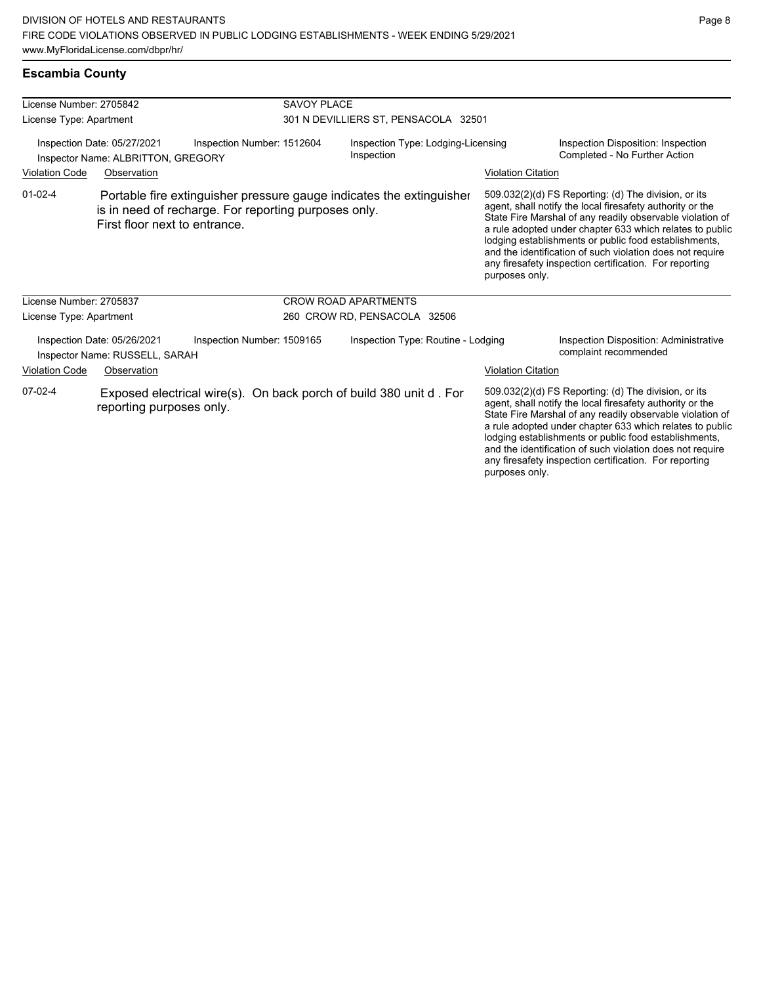| License Number: 2705842 |                                                                   |                                                                                                                              | <b>SAVOY PLACE</b>                               |                           |                                                                                                                                                                                                                                                                                                                                                                                                                            |  |  |
|-------------------------|-------------------------------------------------------------------|------------------------------------------------------------------------------------------------------------------------------|--------------------------------------------------|---------------------------|----------------------------------------------------------------------------------------------------------------------------------------------------------------------------------------------------------------------------------------------------------------------------------------------------------------------------------------------------------------------------------------------------------------------------|--|--|
| License Type: Apartment |                                                                   |                                                                                                                              | 301 N DEVILLIERS ST, PENSACOLA 32501             |                           |                                                                                                                                                                                                                                                                                                                                                                                                                            |  |  |
|                         | Inspection Date: 05/27/2021<br>Inspector Name: ALBRITTON, GREGORY | Inspection Number: 1512604                                                                                                   | Inspection Type: Lodging-Licensing<br>Inspection |                           | Inspection Disposition: Inspection<br>Completed - No Further Action                                                                                                                                                                                                                                                                                                                                                        |  |  |
| <b>Violation Code</b>   | Observation                                                       |                                                                                                                              |                                                  | <b>Violation Citation</b> |                                                                                                                                                                                                                                                                                                                                                                                                                            |  |  |
| $01-02-4$               | First floor next to entrance.                                     | Portable fire extinguisher pressure gauge indicates the extinguisher<br>is in need of recharge. For reporting purposes only. |                                                  | purposes only.            | 509.032(2)(d) FS Reporting: (d) The division, or its<br>agent, shall notify the local firesafety authority or the<br>State Fire Marshal of any readily observable violation of<br>a rule adopted under chapter 633 which relates to public<br>lodging establishments or public food establishments,<br>and the identification of such violation does not require<br>any firesafety inspection certification. For reporting |  |  |
| License Number: 2705837 |                                                                   |                                                                                                                              | <b>CROW ROAD APARTMENTS</b>                      |                           |                                                                                                                                                                                                                                                                                                                                                                                                                            |  |  |
| License Type: Apartment |                                                                   |                                                                                                                              | 260 CROW RD, PENSACOLA 32506                     |                           |                                                                                                                                                                                                                                                                                                                                                                                                                            |  |  |
|                         | Inspection Date: 05/26/2021<br>Inspector Name: RUSSELL, SARAH     | Inspection Number: 1509165                                                                                                   | Inspection Type: Routine - Lodging               |                           | Inspection Disposition: Administrative<br>complaint recommended                                                                                                                                                                                                                                                                                                                                                            |  |  |
| <b>Violation Code</b>   | Observation                                                       |                                                                                                                              |                                                  | <b>Violation Citation</b> |                                                                                                                                                                                                                                                                                                                                                                                                                            |  |  |
| $07-02-4$               | reporting purposes only.                                          | Exposed electrical wire(s). On back porch of build 380 unit d. For                                                           |                                                  |                           | 509.032(2)(d) FS Reporting: (d) The division, or its<br>agent, shall notify the local firesafety authority or the<br>State Fire Marshal of any readily observable violation of<br>a rule adopted under chapter 633 which relates to public<br>lodging establishments or public food establishments,<br>and the identification of such violation does not require                                                           |  |  |

any firesafety inspection certification. For reporting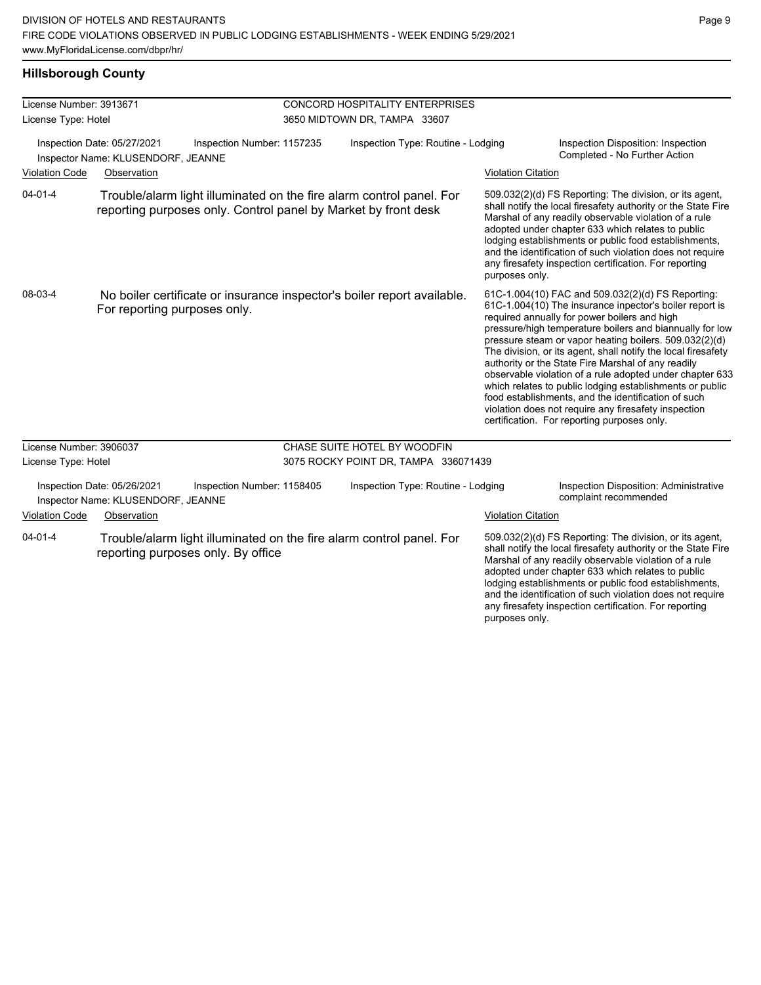## **Hillsborough County**

| License Number: 3913671                                                                                   |                                                                   |                                                                                                                                        | <b>CONCORD HOSPITALITY ENTERPRISES</b> |                                                                                                                                                                                                                                                                                                                                                                                                                                                                                                                                                                                                                                                                                                 |                                                                                                                                                                                                                                                                                                                                                                                                                        |
|-----------------------------------------------------------------------------------------------------------|-------------------------------------------------------------------|----------------------------------------------------------------------------------------------------------------------------------------|----------------------------------------|-------------------------------------------------------------------------------------------------------------------------------------------------------------------------------------------------------------------------------------------------------------------------------------------------------------------------------------------------------------------------------------------------------------------------------------------------------------------------------------------------------------------------------------------------------------------------------------------------------------------------------------------------------------------------------------------------|------------------------------------------------------------------------------------------------------------------------------------------------------------------------------------------------------------------------------------------------------------------------------------------------------------------------------------------------------------------------------------------------------------------------|
| License Type: Hotel                                                                                       |                                                                   |                                                                                                                                        | 3650 MIDTOWN DR, TAMPA 33607           |                                                                                                                                                                                                                                                                                                                                                                                                                                                                                                                                                                                                                                                                                                 |                                                                                                                                                                                                                                                                                                                                                                                                                        |
| Inspection Date: 05/27/2021<br>Inspector Name: KLUSENDORF, JEANNE<br><b>Violation Code</b><br>Observation |                                                                   | Inspection Number: 1157235                                                                                                             | Inspection Type: Routine - Lodging     |                                                                                                                                                                                                                                                                                                                                                                                                                                                                                                                                                                                                                                                                                                 | Inspection Disposition: Inspection<br>Completed - No Further Action                                                                                                                                                                                                                                                                                                                                                    |
|                                                                                                           |                                                                   |                                                                                                                                        |                                        | <b>Violation Citation</b>                                                                                                                                                                                                                                                                                                                                                                                                                                                                                                                                                                                                                                                                       |                                                                                                                                                                                                                                                                                                                                                                                                                        |
| $04 - 01 - 4$                                                                                             |                                                                   | Trouble/alarm light illuminated on the fire alarm control panel. For<br>reporting purposes only. Control panel by Market by front desk |                                        | purposes only.                                                                                                                                                                                                                                                                                                                                                                                                                                                                                                                                                                                                                                                                                  | 509.032(2)(d) FS Reporting: The division, or its agent,<br>shall notify the local firesafety authority or the State Fire<br>Marshal of any readily observable violation of a rule<br>adopted under chapter 633 which relates to public<br>lodging establishments or public food establishments,<br>and the identification of such violation does not require<br>any firesafety inspection certification. For reporting |
| 08-03-4                                                                                                   | For reporting purposes only.                                      | No boiler certificate or insurance inspector's boiler report available.                                                                |                                        | 61C-1.004(10) FAC and 509.032(2)(d) FS Reporting:<br>61C-1.004(10) The insurance inpector's boiler report is<br>required annually for power boilers and high<br>pressure/high temperature boilers and biannually for low<br>pressure steam or vapor heating boilers. 509.032(2)(d)<br>The division, or its agent, shall notify the local firesafety<br>authority or the State Fire Marshal of any readily<br>observable violation of a rule adopted under chapter 633<br>which relates to public lodging establishments or public<br>food establishments, and the identification of such<br>violation does not require any firesafety inspection<br>certification. For reporting purposes only. |                                                                                                                                                                                                                                                                                                                                                                                                                        |
| License Number: 3906037                                                                                   |                                                                   |                                                                                                                                        | CHASE SUITE HOTEL BY WOODFIN           |                                                                                                                                                                                                                                                                                                                                                                                                                                                                                                                                                                                                                                                                                                 |                                                                                                                                                                                                                                                                                                                                                                                                                        |
| License Type: Hotel                                                                                       |                                                                   |                                                                                                                                        | 3075 ROCKY POINT DR, TAMPA 336071439   |                                                                                                                                                                                                                                                                                                                                                                                                                                                                                                                                                                                                                                                                                                 |                                                                                                                                                                                                                                                                                                                                                                                                                        |
|                                                                                                           | Inspection Date: 05/26/2021<br>Inspector Name: KLUSENDORF, JEANNE | Inspection Number: 1158405                                                                                                             | Inspection Type: Routine - Lodging     |                                                                                                                                                                                                                                                                                                                                                                                                                                                                                                                                                                                                                                                                                                 | Inspection Disposition: Administrative<br>complaint recommended                                                                                                                                                                                                                                                                                                                                                        |
| <b>Violation Code</b>                                                                                     | Observation                                                       |                                                                                                                                        |                                        | <b>Violation Citation</b>                                                                                                                                                                                                                                                                                                                                                                                                                                                                                                                                                                                                                                                                       |                                                                                                                                                                                                                                                                                                                                                                                                                        |
| $04 - 01 - 4$                                                                                             |                                                                   | Trouble/alarm light illuminated on the fire alarm control panel. For<br>reporting purposes only. By office                             |                                        |                                                                                                                                                                                                                                                                                                                                                                                                                                                                                                                                                                                                                                                                                                 | 509.032(2)(d) FS Reporting: The division, or its agent,<br>shall notify the local firesafety authority or the State Fire<br>Marshal of any readily observable violation of a rule<br>adopted under chapter 633 which relates to public<br>lodging establishments or public food establishments,<br>and the identification of such violation does not require<br>any firesafety inspection certification. For reporting |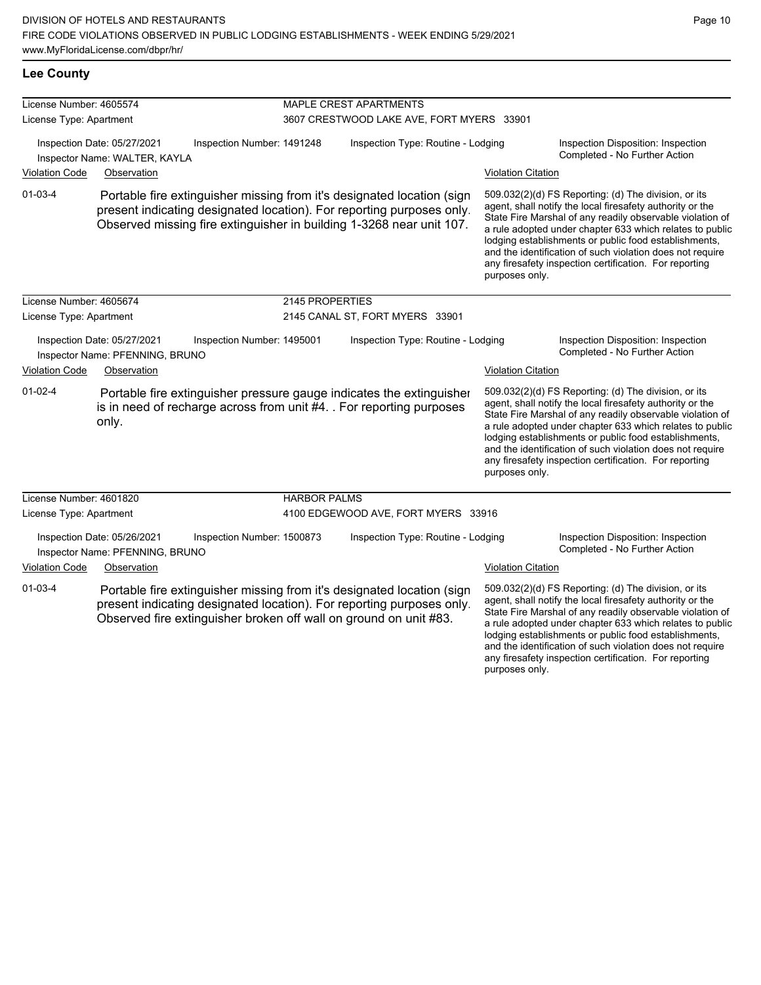**Lee County**

| License Number: 4605574                                      |                                                                               |                            |                                           | MAPLE CREST APARTMENTS                                                                                                                                                                                                  |                           |                                                                                                                                                                                                                                                                                                                                                                                                                            |  |
|--------------------------------------------------------------|-------------------------------------------------------------------------------|----------------------------|-------------------------------------------|-------------------------------------------------------------------------------------------------------------------------------------------------------------------------------------------------------------------------|---------------------------|----------------------------------------------------------------------------------------------------------------------------------------------------------------------------------------------------------------------------------------------------------------------------------------------------------------------------------------------------------------------------------------------------------------------------|--|
| License Type: Apartment                                      |                                                                               |                            | 3607 CRESTWOOD LAKE AVE, FORT MYERS 33901 |                                                                                                                                                                                                                         |                           |                                                                                                                                                                                                                                                                                                                                                                                                                            |  |
| Inspection Date: 05/27/2021<br>Inspector Name: WALTER, KAYLA |                                                                               | Inspection Number: 1491248 | Inspection Type: Routine - Lodging        |                                                                                                                                                                                                                         |                           | Inspection Disposition: Inspection<br>Completed - No Further Action                                                                                                                                                                                                                                                                                                                                                        |  |
| <b>Violation Code</b>                                        | Observation                                                                   |                            |                                           |                                                                                                                                                                                                                         | <b>Violation Citation</b> |                                                                                                                                                                                                                                                                                                                                                                                                                            |  |
| $01 - 03 - 4$                                                |                                                                               |                            |                                           | Portable fire extinguisher missing from it's designated location (sign<br>present indicating designated location). For reporting purposes only.<br>Observed missing fire extinguisher in building 1-3268 near unit 107. | purposes only.            | 509.032(2)(d) FS Reporting: (d) The division, or its<br>agent, shall notify the local firesafety authority or the<br>State Fire Marshal of any readily observable violation of<br>a rule adopted under chapter 633 which relates to public<br>lodging establishments or public food establishments,<br>and the identification of such violation does not require<br>any firesafety inspection certification. For reporting |  |
| License Number: 4605674                                      |                                                                               |                            | 2145 PROPERTIES                           |                                                                                                                                                                                                                         |                           |                                                                                                                                                                                                                                                                                                                                                                                                                            |  |
| License Type: Apartment                                      |                                                                               |                            | 2145 CANAL ST, FORT MYERS 33901           |                                                                                                                                                                                                                         |                           |                                                                                                                                                                                                                                                                                                                                                                                                                            |  |
| <b>Violation Code</b>                                        | Inspection Date: 05/27/2021<br>Inspector Name: PFENNING, BRUNO<br>Observation | Inspection Number: 1495001 |                                           | Inspection Type: Routine - Lodging                                                                                                                                                                                      | <b>Violation Citation</b> | Inspection Disposition: Inspection<br>Completed - No Further Action                                                                                                                                                                                                                                                                                                                                                        |  |
| $01-02-4$                                                    | only.                                                                         |                            |                                           | Portable fire extinguisher pressure gauge indicates the extinguisher<br>is in need of recharge across from unit #4. . For reporting purposes                                                                            | purposes only.            | 509.032(2)(d) FS Reporting: (d) The division, or its<br>agent, shall notify the local firesafety authority or the<br>State Fire Marshal of any readily observable violation of<br>a rule adopted under chapter 633 which relates to public<br>lodging establishments or public food establishments,<br>and the identification of such violation does not require<br>any firesafety inspection certification. For reporting |  |
| License Number: 4601820                                      |                                                                               |                            | <b>HARBOR PALMS</b>                       |                                                                                                                                                                                                                         |                           |                                                                                                                                                                                                                                                                                                                                                                                                                            |  |
| License Type: Apartment                                      |                                                                               |                            |                                           | 4100 EDGEWOOD AVE, FORT MYERS 33916                                                                                                                                                                                     |                           |                                                                                                                                                                                                                                                                                                                                                                                                                            |  |
|                                                              | Inspection Date: 05/26/2021<br>Inspector Name: PFENNING, BRUNO                | Inspection Number: 1500873 |                                           | Inspection Type: Routine - Lodging                                                                                                                                                                                      |                           | Inspection Disposition: Inspection<br>Completed - No Further Action                                                                                                                                                                                                                                                                                                                                                        |  |
| <b>Violation Code</b>                                        | Observation                                                                   |                            |                                           |                                                                                                                                                                                                                         | <b>Violation Citation</b> |                                                                                                                                                                                                                                                                                                                                                                                                                            |  |
| $01 - 03 - 4$                                                |                                                                               |                            |                                           | Portable fire extinguisher missing from it's designated location (sign                                                                                                                                                  |                           | 509.032(2)(d) FS Reporting: (d) The division, or its                                                                                                                                                                                                                                                                                                                                                                       |  |

present indicating designated location). For reporting purposes only. Observed fire extinguisher broken off wall on ground on unit #83.

agent, shall notify the local firesafety authority or the State Fire Marshal of any readily observable violation of a rule adopted under chapter 633 which relates to public lodging establishments or public food establishments, and the identification of such violation does not require any firesafety inspection certification. For reporting purposes only.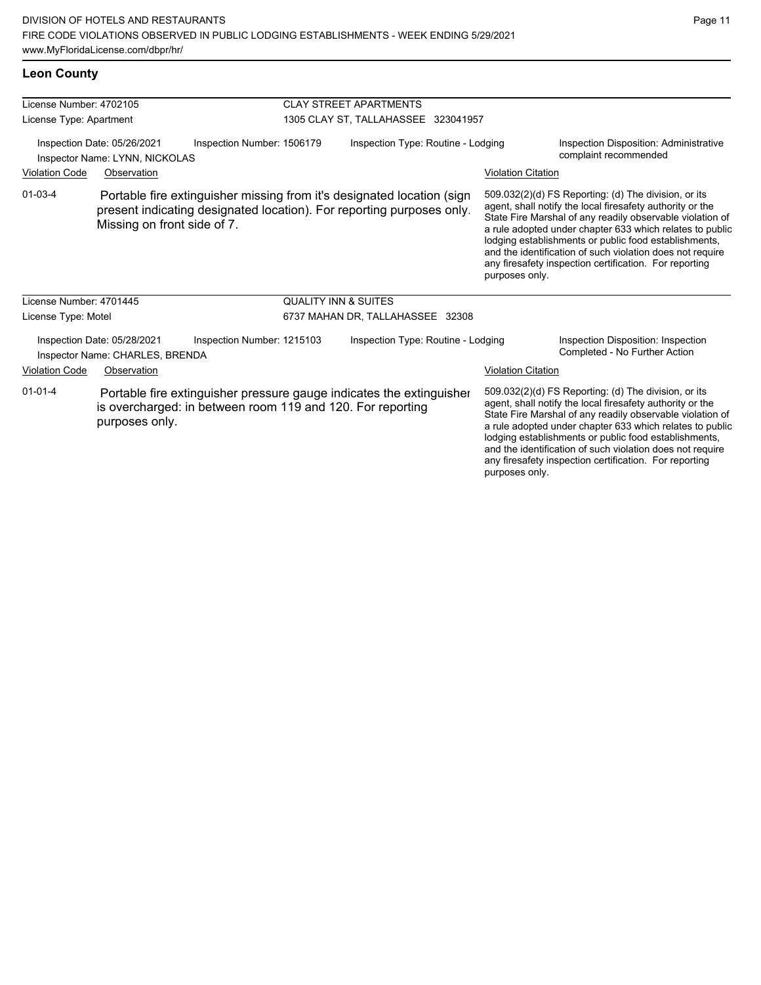01-03-4 Portable fire extinguisher missing from it's designated location (sign present indicating designated location). For reporting purposes only. Missing on front side of 7.

purposes only.

509.032(2)(d) FS Reporting: (d) The division, or its agent, shall notify the local firesafety authority or the State Fire Marshal of any readily observable violation of a rule adopted under chapter 633 which relates to public lodging establishments or public food establishments, and the identification of such violation does not require any firesafety inspection certification. For reporting purposes only.

| License Number: 4701445                                                                      |                |                                                            |                                  | <b>QUALITY INN &amp; SUITES</b>                                      |                           |                                                                                                                                                                                                                                                                                                                                                                                                                            |  |
|----------------------------------------------------------------------------------------------|----------------|------------------------------------------------------------|----------------------------------|----------------------------------------------------------------------|---------------------------|----------------------------------------------------------------------------------------------------------------------------------------------------------------------------------------------------------------------------------------------------------------------------------------------------------------------------------------------------------------------------------------------------------------------------|--|
| License Type: Motel                                                                          |                |                                                            | 6737 MAHAN DR, TALLAHASSEE 32308 |                                                                      |                           |                                                                                                                                                                                                                                                                                                                                                                                                                            |  |
| Inspection Number: 1215103<br>Inspection Date: 05/28/2021<br>Inspector Name: CHARLES, BRENDA |                | Inspection Type: Routine - Lodging                         |                                  | Inspection Disposition: Inspection<br>Completed - No Further Action  |                           |                                                                                                                                                                                                                                                                                                                                                                                                                            |  |
| <b>Violation Code</b>                                                                        | Observation    |                                                            |                                  |                                                                      | <b>Violation Citation</b> |                                                                                                                                                                                                                                                                                                                                                                                                                            |  |
| $01 - 01 - 4$                                                                                | purposes only. | is overcharged: in between room 119 and 120. For reporting |                                  | Portable fire extinguisher pressure gauge indicates the extinguisher |                           | 509.032(2)(d) FS Reporting: (d) The division, or its<br>agent, shall notify the local firesafety authority or the<br>State Fire Marshal of any readily observable violation of<br>a rule adopted under chapter 633 which relates to public<br>lodging establishments or public food establishments,<br>and the identification of such violation does not require<br>any firesafety inspection certification. For reporting |  |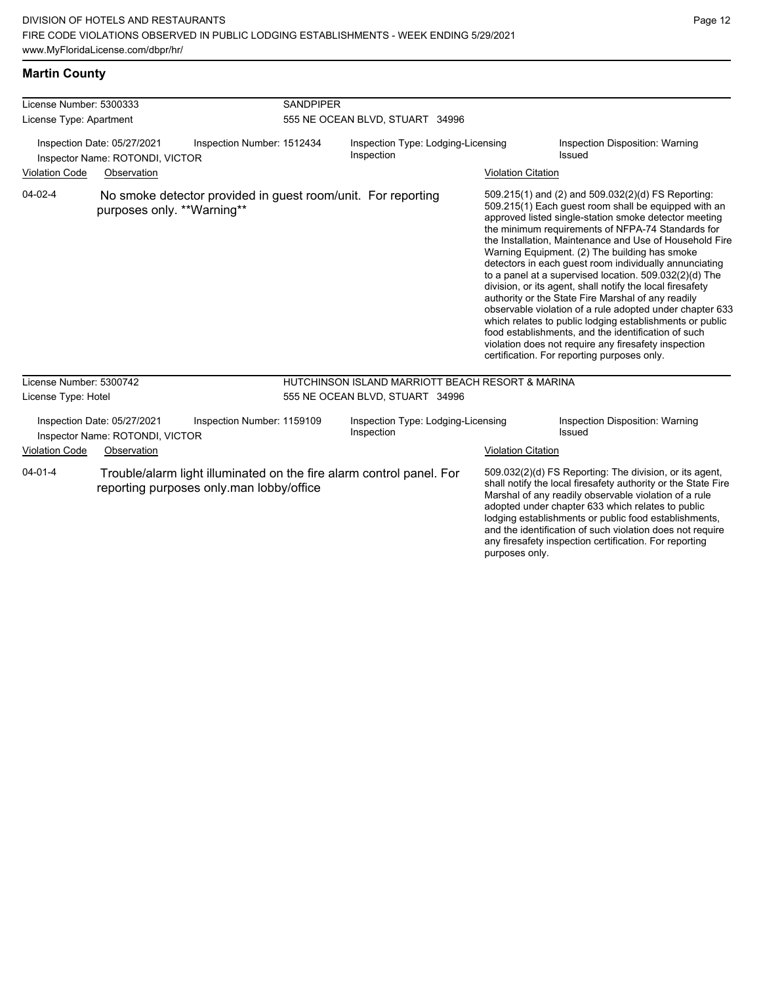| License Number: 5300333 |                                                                               |                                                              | <b>SANDPIPER</b>                |                                                                      |                           |                                                                                                                                                                                                                                                                                                                                                                                                                                                                                                                                                                                                                                                                                                                                                                                                                                                                     |  |
|-------------------------|-------------------------------------------------------------------------------|--------------------------------------------------------------|---------------------------------|----------------------------------------------------------------------|---------------------------|---------------------------------------------------------------------------------------------------------------------------------------------------------------------------------------------------------------------------------------------------------------------------------------------------------------------------------------------------------------------------------------------------------------------------------------------------------------------------------------------------------------------------------------------------------------------------------------------------------------------------------------------------------------------------------------------------------------------------------------------------------------------------------------------------------------------------------------------------------------------|--|
| License Type: Apartment |                                                                               |                                                              | 555 NE OCEAN BLVD, STUART 34996 |                                                                      |                           |                                                                                                                                                                                                                                                                                                                                                                                                                                                                                                                                                                                                                                                                                                                                                                                                                                                                     |  |
| <b>Violation Code</b>   | Inspection Date: 05/27/2021<br>Inspector Name: ROTONDI, VICTOR<br>Observation | Inspection Number: 1512434                                   |                                 | Inspection Type: Lodging-Licensing<br>Inspection                     |                           | Inspection Disposition: Warning<br>Issued                                                                                                                                                                                                                                                                                                                                                                                                                                                                                                                                                                                                                                                                                                                                                                                                                           |  |
|                         |                                                                               |                                                              |                                 |                                                                      | <b>Violation Citation</b> |                                                                                                                                                                                                                                                                                                                                                                                                                                                                                                                                                                                                                                                                                                                                                                                                                                                                     |  |
| $04 - 02 - 4$           | purposes only. **Warning**                                                    | No smoke detector provided in guest room/unit. For reporting |                                 |                                                                      |                           | 509.215(1) and (2) and 509.032(2)(d) FS Reporting:<br>509.215(1) Each guest room shall be equipped with an<br>approved listed single-station smoke detector meeting<br>the minimum requirements of NFPA-74 Standards for<br>the Installation, Maintenance and Use of Household Fire<br>Warning Equipment. (2) The building has smoke<br>detectors in each guest room individually annunciating<br>to a panel at a supervised location. $509.032(2)(d)$ The<br>division, or its agent, shall notify the local firesafety<br>authority or the State Fire Marshal of any readily<br>observable violation of a rule adopted under chapter 633<br>which relates to public lodging establishments or public<br>food establishments, and the identification of such<br>violation does not require any firesafety inspection<br>certification. For reporting purposes only. |  |
| License Number: 5300742 |                                                                               |                                                              |                                 | HUTCHINSON ISLAND MARRIOTT BEACH RESORT & MARINA                     |                           |                                                                                                                                                                                                                                                                                                                                                                                                                                                                                                                                                                                                                                                                                                                                                                                                                                                                     |  |
| License Type: Hotel     |                                                                               |                                                              | 555 NE OCEAN BLVD, STUART 34996 |                                                                      |                           |                                                                                                                                                                                                                                                                                                                                                                                                                                                                                                                                                                                                                                                                                                                                                                                                                                                                     |  |
|                         | Inspection Date: 05/27/2021<br>Inspector Name: ROTONDI, VICTOR                | Inspection Number: 1159109                                   |                                 | Inspection Type: Lodging-Licensing<br>Inspection                     |                           | Inspection Disposition: Warning<br>Issued                                                                                                                                                                                                                                                                                                                                                                                                                                                                                                                                                                                                                                                                                                                                                                                                                           |  |
| <b>Violation Code</b>   | Observation                                                                   |                                                              |                                 |                                                                      | <b>Violation Citation</b> |                                                                                                                                                                                                                                                                                                                                                                                                                                                                                                                                                                                                                                                                                                                                                                                                                                                                     |  |
| $04 - 01 - 4$           |                                                                               | reporting purposes only man lobby/office                     |                                 | Trouble/alarm light illuminated on the fire alarm control panel. For | purposes only.            | 509.032(2)(d) FS Reporting: The division, or its agent,<br>shall notify the local firesafety authority or the State Fire<br>Marshal of any readily observable violation of a rule<br>adopted under chapter 633 which relates to public<br>lodging establishments or public food establishments,<br>and the identification of such violation does not require<br>any firesafety inspection certification. For reporting                                                                                                                                                                                                                                                                                                                                                                                                                                              |  |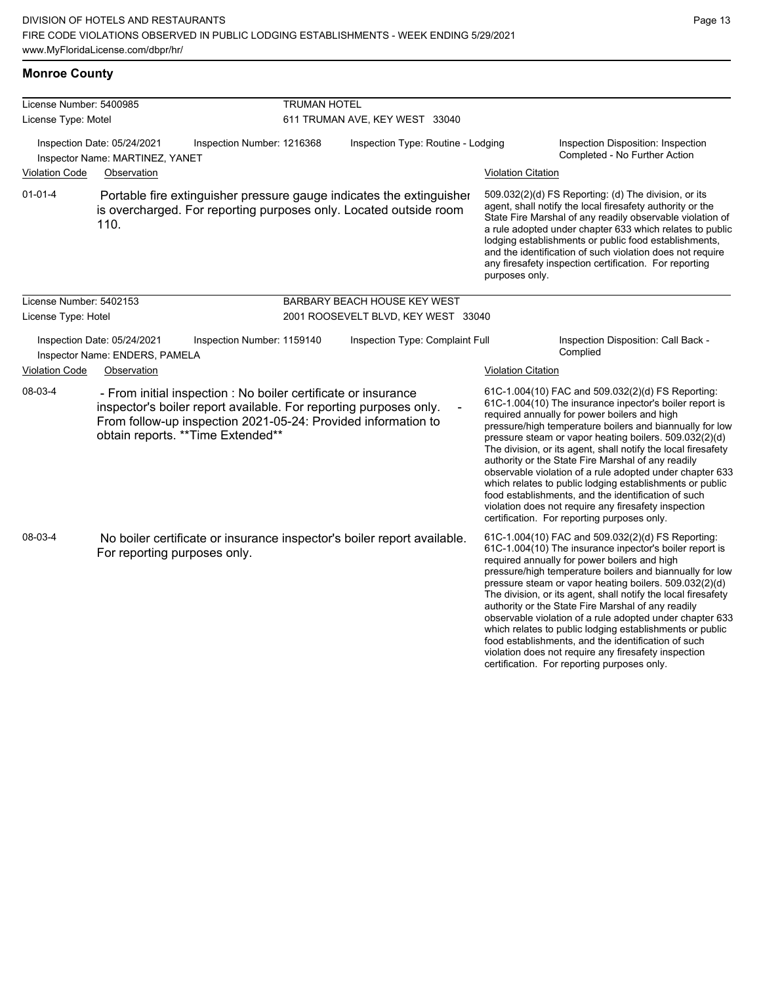**Monroe County**

| License Number: 5400985 |                                                                                                                                                                                                                                            | <b>TRUMAN HOTEL</b>        |                                                                                                                                                                                                                                                                                                                                                                                                                                                                                                                                                                                           |                           |                                                                                                                                                                                                                                                                                                                                                                                                                                                                                                                                                                                                                                                                                                 |  |  |  |
|-------------------------|--------------------------------------------------------------------------------------------------------------------------------------------------------------------------------------------------------------------------------------------|----------------------------|-------------------------------------------------------------------------------------------------------------------------------------------------------------------------------------------------------------------------------------------------------------------------------------------------------------------------------------------------------------------------------------------------------------------------------------------------------------------------------------------------------------------------------------------------------------------------------------------|---------------------------|-------------------------------------------------------------------------------------------------------------------------------------------------------------------------------------------------------------------------------------------------------------------------------------------------------------------------------------------------------------------------------------------------------------------------------------------------------------------------------------------------------------------------------------------------------------------------------------------------------------------------------------------------------------------------------------------------|--|--|--|
| License Type: Motel     |                                                                                                                                                                                                                                            |                            | 611 TRUMAN AVE, KEY WEST 33040                                                                                                                                                                                                                                                                                                                                                                                                                                                                                                                                                            |                           |                                                                                                                                                                                                                                                                                                                                                                                                                                                                                                                                                                                                                                                                                                 |  |  |  |
|                         | Inspection Date: 05/24/2021<br>Inspector Name: MARTINEZ, YANET                                                                                                                                                                             | Inspection Number: 1216368 | Inspection Type: Routine - Lodging                                                                                                                                                                                                                                                                                                                                                                                                                                                                                                                                                        |                           | Inspection Disposition: Inspection<br>Completed - No Further Action                                                                                                                                                                                                                                                                                                                                                                                                                                                                                                                                                                                                                             |  |  |  |
| <b>Violation Code</b>   | Observation                                                                                                                                                                                                                                |                            |                                                                                                                                                                                                                                                                                                                                                                                                                                                                                                                                                                                           | <b>Violation Citation</b> |                                                                                                                                                                                                                                                                                                                                                                                                                                                                                                                                                                                                                                                                                                 |  |  |  |
| $01 - 01 - 4$           | 110.                                                                                                                                                                                                                                       |                            | Portable fire extinguisher pressure gauge indicates the extinguisher<br>509.032(2)(d) FS Reporting: (d) The division, or its<br>agent, shall notify the local firesafety authority or the<br>is overcharged. For reporting purposes only. Located outside room<br>State Fire Marshal of any readily observable violation of<br>a rule adopted under chapter 633 which relates to public<br>lodging establishments or public food establishments,<br>and the identification of such violation does not require<br>any firesafety inspection certification. For reporting<br>purposes only. |                           |                                                                                                                                                                                                                                                                                                                                                                                                                                                                                                                                                                                                                                                                                                 |  |  |  |
| License Number: 5402153 |                                                                                                                                                                                                                                            |                            | BARBARY BEACH HOUSE KEY WEST                                                                                                                                                                                                                                                                                                                                                                                                                                                                                                                                                              |                           |                                                                                                                                                                                                                                                                                                                                                                                                                                                                                                                                                                                                                                                                                                 |  |  |  |
| License Type: Hotel     |                                                                                                                                                                                                                                            |                            | 2001 ROOSEVELT BLVD, KEY WEST 33040                                                                                                                                                                                                                                                                                                                                                                                                                                                                                                                                                       |                           |                                                                                                                                                                                                                                                                                                                                                                                                                                                                                                                                                                                                                                                                                                 |  |  |  |
|                         | Inspection Date: 05/24/2021<br>Inspector Name: ENDERS, PAMELA                                                                                                                                                                              | Inspection Number: 1159140 | Inspection Type: Complaint Full                                                                                                                                                                                                                                                                                                                                                                                                                                                                                                                                                           |                           | Inspection Disposition: Call Back -<br>Complied                                                                                                                                                                                                                                                                                                                                                                                                                                                                                                                                                                                                                                                 |  |  |  |
| <b>Violation Code</b>   | Observation                                                                                                                                                                                                                                |                            |                                                                                                                                                                                                                                                                                                                                                                                                                                                                                                                                                                                           | <b>Violation Citation</b> |                                                                                                                                                                                                                                                                                                                                                                                                                                                                                                                                                                                                                                                                                                 |  |  |  |
| 08-03-4                 | - From initial inspection : No boiler certificate or insurance<br>inspector's boiler report available. For reporting purposes only.<br>From follow-up inspection 2021-05-24: Provided information to<br>obtain reports. ** Time Extended** |                            |                                                                                                                                                                                                                                                                                                                                                                                                                                                                                                                                                                                           |                           | 61C-1.004(10) FAC and 509.032(2)(d) FS Reporting:<br>61C-1.004(10) The insurance inpector's boiler report is<br>required annually for power boilers and high<br>pressure/high temperature boilers and biannually for low<br>pressure steam or vapor heating boilers. 509.032(2)(d)<br>The division, or its agent, shall notify the local firesafety<br>authority or the State Fire Marshal of any readily<br>observable violation of a rule adopted under chapter 633<br>which relates to public lodging establishments or public<br>food establishments, and the identification of such<br>violation does not require any firesafety inspection<br>certification. For reporting purposes only. |  |  |  |
| 08-03-4                 | No boiler certificate or insurance inspector's boiler report available.<br>For reporting purposes only.                                                                                                                                    |                            |                                                                                                                                                                                                                                                                                                                                                                                                                                                                                                                                                                                           |                           | 61C-1.004(10) FAC and 509.032(2)(d) FS Reporting:<br>61C-1.004(10) The insurance inpector's boiler report is<br>required annually for power boilers and high<br>pressure/high temperature boilers and biannually for low<br>pressure steam or vapor heating boilers. 509.032(2)(d)<br>The division, or its agent, shall notify the local firesafety<br>authority or the State Fire Marshal of any readily<br>observable violation of a rule adopted under chapter 633<br>which relates to public lodging establishments or public<br>food establishments, and the identification of such<br>violation does not require any firesafety inspection                                                |  |  |  |

certification. For reporting purposes only.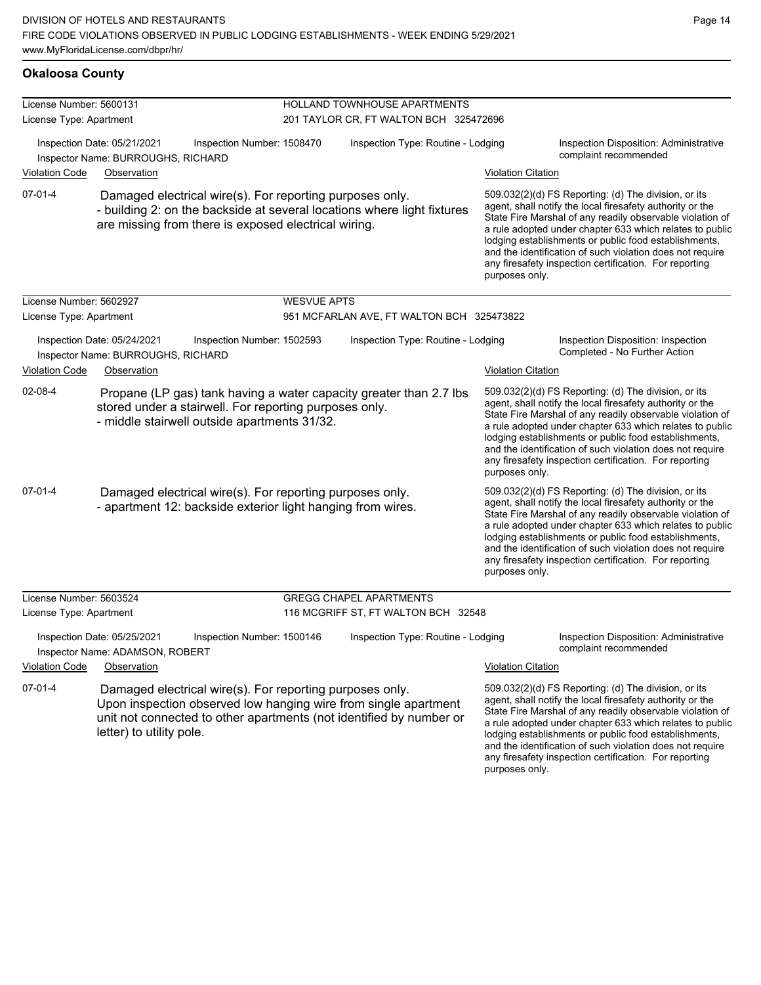| <b>Okaloosa County</b>                                                                          |                                                                                                        |                                                          |                                                                                                                         |                                                                                                                                        |                                                                                                                                                                                                                                                                                                                                                                                                                                              |                                                                                                                                                                                                                                                                                                                                                                                                                            |
|-------------------------------------------------------------------------------------------------|--------------------------------------------------------------------------------------------------------|----------------------------------------------------------|-------------------------------------------------------------------------------------------------------------------------|----------------------------------------------------------------------------------------------------------------------------------------|----------------------------------------------------------------------------------------------------------------------------------------------------------------------------------------------------------------------------------------------------------------------------------------------------------------------------------------------------------------------------------------------------------------------------------------------|----------------------------------------------------------------------------------------------------------------------------------------------------------------------------------------------------------------------------------------------------------------------------------------------------------------------------------------------------------------------------------------------------------------------------|
| License Number: 5600131                                                                         |                                                                                                        |                                                          |                                                                                                                         | HOLLAND TOWNHOUSE APARTMENTS                                                                                                           |                                                                                                                                                                                                                                                                                                                                                                                                                                              |                                                                                                                                                                                                                                                                                                                                                                                                                            |
| License Type: Apartment                                                                         |                                                                                                        |                                                          |                                                                                                                         | 201 TAYLOR CR, FT WALTON BCH 325472696                                                                                                 |                                                                                                                                                                                                                                                                                                                                                                                                                                              |                                                                                                                                                                                                                                                                                                                                                                                                                            |
|                                                                                                 | Inspection Date: 05/21/2021<br>Inspector Name: BURROUGHS, RICHARD                                      | Inspection Number: 1508470                               |                                                                                                                         | Inspection Type: Routine - Lodging                                                                                                     |                                                                                                                                                                                                                                                                                                                                                                                                                                              | Inspection Disposition: Administrative<br>complaint recommended                                                                                                                                                                                                                                                                                                                                                            |
| <b>Violation Code</b>                                                                           | Observation                                                                                            |                                                          |                                                                                                                         |                                                                                                                                        | <b>Violation Citation</b>                                                                                                                                                                                                                                                                                                                                                                                                                    |                                                                                                                                                                                                                                                                                                                                                                                                                            |
| $07 - 01 - 4$                                                                                   | are missing from there is exposed electrical wiring.                                                   | Damaged electrical wire(s). For reporting purposes only. |                                                                                                                         | - building 2: on the backside at several locations where light fixtures                                                                | 509.032(2)(d) FS Reporting: (d) The division, or its<br>agent, shall notify the local firesafety authority or the<br>State Fire Marshal of any readily observable violation of<br>a rule adopted under chapter 633 which relates to public<br>lodging establishments or public food establishments,<br>and the identification of such violation does not require<br>any firesafety inspection certification. For reporting<br>purposes only. |                                                                                                                                                                                                                                                                                                                                                                                                                            |
| License Number: 5602927                                                                         |                                                                                                        |                                                          | <b>WESVUE APTS</b>                                                                                                      |                                                                                                                                        |                                                                                                                                                                                                                                                                                                                                                                                                                                              |                                                                                                                                                                                                                                                                                                                                                                                                                            |
| License Type: Apartment                                                                         |                                                                                                        |                                                          |                                                                                                                         | 951 MCFARLAN AVE, FT WALTON BCH 325473822                                                                                              |                                                                                                                                                                                                                                                                                                                                                                                                                                              |                                                                                                                                                                                                                                                                                                                                                                                                                            |
| Inspection Date: 05/24/2021<br>Inspection Number: 1502593<br>Inspector Name: BURROUGHS, RICHARD |                                                                                                        |                                                          |                                                                                                                         | Inspection Type: Routine - Lodging                                                                                                     |                                                                                                                                                                                                                                                                                                                                                                                                                                              | Inspection Disposition: Inspection<br>Completed - No Further Action                                                                                                                                                                                                                                                                                                                                                        |
| <b>Violation Code</b>                                                                           | Observation                                                                                            |                                                          |                                                                                                                         |                                                                                                                                        | <b>Violation Citation</b>                                                                                                                                                                                                                                                                                                                                                                                                                    |                                                                                                                                                                                                                                                                                                                                                                                                                            |
| 02-08-4                                                                                         | stored under a stairwell. For reporting purposes only.<br>- middle stairwell outside apartments 31/32. |                                                          |                                                                                                                         | Propane (LP gas) tank having a water capacity greater than 2.7 lbs                                                                     | purposes only.                                                                                                                                                                                                                                                                                                                                                                                                                               | 509.032(2)(d) FS Reporting: (d) The division, or its<br>agent, shall notify the local firesafety authority or the<br>State Fire Marshal of any readily observable violation of<br>a rule adopted under chapter 633 which relates to public<br>lodging establishments or public food establishments,<br>and the identification of such violation does not require<br>any firesafety inspection certification. For reporting |
| $07 - 01 - 4$                                                                                   |                                                                                                        |                                                          | Damaged electrical wire(s). For reporting purposes only.<br>- apartment 12: backside exterior light hanging from wires. |                                                                                                                                        | purposes only.                                                                                                                                                                                                                                                                                                                                                                                                                               | 509.032(2)(d) FS Reporting: (d) The division, or its<br>agent, shall notify the local firesafety authority or the<br>State Fire Marshal of any readily observable violation of<br>a rule adopted under chapter 633 which relates to public<br>lodging establishments or public food establishments,<br>and the identification of such violation does not require<br>any firesafety inspection certification. For reporting |
| License Number: 5603524                                                                         |                                                                                                        |                                                          |                                                                                                                         | <b>GREGG CHAPEL APARTMENTS</b>                                                                                                         |                                                                                                                                                                                                                                                                                                                                                                                                                                              |                                                                                                                                                                                                                                                                                                                                                                                                                            |
| License Type: Apartment                                                                         |                                                                                                        |                                                          |                                                                                                                         | 116 MCGRIFF ST, FT WALTON BCH 32548                                                                                                    |                                                                                                                                                                                                                                                                                                                                                                                                                                              |                                                                                                                                                                                                                                                                                                                                                                                                                            |
|                                                                                                 | Inspection Date: 05/25/2021<br>Inspector Name: ADAMSON, ROBERT                                         | Inspection Number: 1500146                               |                                                                                                                         | Inspection Type: Routine - Lodging                                                                                                     |                                                                                                                                                                                                                                                                                                                                                                                                                                              | Inspection Disposition: Administrative<br>complaint recommended                                                                                                                                                                                                                                                                                                                                                            |
| <b>Violation Code</b>                                                                           | Observation                                                                                            |                                                          |                                                                                                                         |                                                                                                                                        | <b>Violation Citation</b>                                                                                                                                                                                                                                                                                                                                                                                                                    |                                                                                                                                                                                                                                                                                                                                                                                                                            |
| $07 - 01 - 4$                                                                                   | letter) to utility pole.                                                                               | Damaged electrical wire(s). For reporting purposes only. |                                                                                                                         | Upon inspection observed low hanging wire from single apartment<br>unit not connected to other apartments (not identified by number or | purposes only.                                                                                                                                                                                                                                                                                                                                                                                                                               | 509.032(2)(d) FS Reporting: (d) The division, or its<br>agent, shall notify the local firesafety authority or the<br>State Fire Marshal of any readily observable violation of<br>a rule adopted under chapter 633 which relates to public<br>lodging establishments or public food establishments,<br>and the identification of such violation does not require<br>any firesafety inspection certification. For reporting |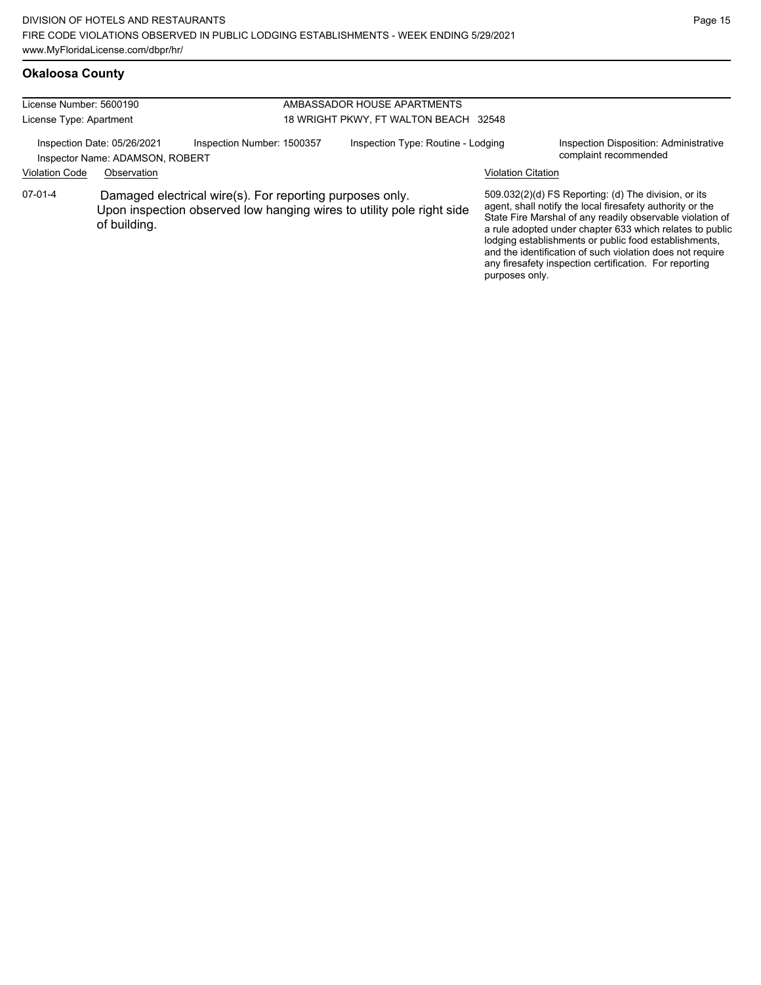# **Okaloosa County**

| License Number: 5600190<br>License Type: Apartment |                                                                               |                                                                                                                                   | AMBASSADOR HOUSE APARTMENTS<br>18 WRIGHT PKWY, FT WALTON BEACH 32548 |                           |                                                                                                                                                                                                                                                                                                                                                                                                                            |
|----------------------------------------------------|-------------------------------------------------------------------------------|-----------------------------------------------------------------------------------------------------------------------------------|----------------------------------------------------------------------|---------------------------|----------------------------------------------------------------------------------------------------------------------------------------------------------------------------------------------------------------------------------------------------------------------------------------------------------------------------------------------------------------------------------------------------------------------------|
| <b>Violation Code</b>                              | Inspection Date: 05/26/2021<br>Inspector Name: ADAMSON, ROBERT<br>Observation | Inspection Number: 1500357                                                                                                        | Inspection Type: Routine - Lodging                                   | <b>Violation Citation</b> | Inspection Disposition: Administrative<br>complaint recommended                                                                                                                                                                                                                                                                                                                                                            |
| $07-01-4$                                          | of building.                                                                  | Damaged electrical wire(s). For reporting purposes only.<br>Upon inspection observed low hanging wires to utility pole right side |                                                                      | purposes only.            | 509.032(2)(d) FS Reporting: (d) The division, or its<br>agent, shall notify the local firesafety authority or the<br>State Fire Marshal of any readily observable violation of<br>a rule adopted under chapter 633 which relates to public<br>lodging establishments or public food establishments,<br>and the identification of such violation does not require<br>any firesafety inspection certification. For reporting |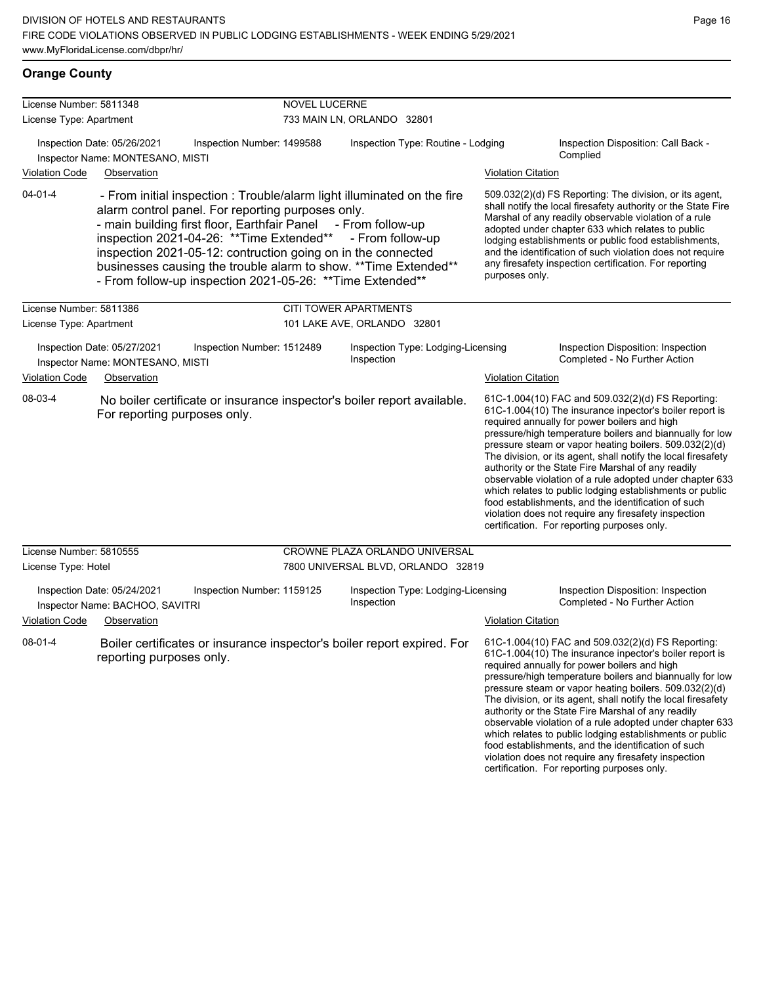violation does not require any firesafety inspection certification. For reporting purposes only.

## **Orange County**

| License Number: 5811348 |                                                                                                                                                                                                                                                                                                                                                                                                                                                               | <b>NOVEL LUCERNE</b>       |                                                  |                           |                                                                                                                                                                                                                                                                                                                                                                                                                                                                                                                                                                                                                                                                                                 |
|-------------------------|---------------------------------------------------------------------------------------------------------------------------------------------------------------------------------------------------------------------------------------------------------------------------------------------------------------------------------------------------------------------------------------------------------------------------------------------------------------|----------------------------|--------------------------------------------------|---------------------------|-------------------------------------------------------------------------------------------------------------------------------------------------------------------------------------------------------------------------------------------------------------------------------------------------------------------------------------------------------------------------------------------------------------------------------------------------------------------------------------------------------------------------------------------------------------------------------------------------------------------------------------------------------------------------------------------------|
| License Type: Apartment |                                                                                                                                                                                                                                                                                                                                                                                                                                                               |                            | 733 MAIN LN, ORLANDO 32801                       |                           |                                                                                                                                                                                                                                                                                                                                                                                                                                                                                                                                                                                                                                                                                                 |
|                         | Inspection Date: 05/26/2021<br>Inspector Name: MONTESANO, MISTI                                                                                                                                                                                                                                                                                                                                                                                               | Inspection Number: 1499588 | Inspection Type: Routine - Lodging               |                           | Inspection Disposition: Call Back -<br>Complied                                                                                                                                                                                                                                                                                                                                                                                                                                                                                                                                                                                                                                                 |
| Violation Code          | Observation                                                                                                                                                                                                                                                                                                                                                                                                                                                   |                            |                                                  | <b>Violation Citation</b> |                                                                                                                                                                                                                                                                                                                                                                                                                                                                                                                                                                                                                                                                                                 |
| $04 - 01 - 4$           | - From initial inspection : Trouble/alarm light illuminated on the fire<br>alarm control panel. For reporting purposes only.<br>- main building first floor, Earthfair Panel - From follow-up<br>inspection 2021-04-26: ** Time Extended** - From follow-up<br>inspection 2021-05-12: contruction going on in the connected<br>businesses causing the trouble alarm to show. ** Time Extended**<br>- From follow-up inspection 2021-05-26: ** Time Extended** |                            |                                                  | purposes only.            | 509.032(2)(d) FS Reporting: The division, or its agent,<br>shall notify the local firesafety authority or the State Fire<br>Marshal of any readily observable violation of a rule<br>adopted under chapter 633 which relates to public<br>lodging establishments or public food establishments,<br>and the identification of such violation does not require<br>any firesafety inspection certification. For reporting                                                                                                                                                                                                                                                                          |
| License Number: 5811386 |                                                                                                                                                                                                                                                                                                                                                                                                                                                               |                            | <b>CITI TOWER APARTMENTS</b>                     |                           |                                                                                                                                                                                                                                                                                                                                                                                                                                                                                                                                                                                                                                                                                                 |
| License Type: Apartment |                                                                                                                                                                                                                                                                                                                                                                                                                                                               |                            | 101 LAKE AVE, ORLANDO 32801                      |                           |                                                                                                                                                                                                                                                                                                                                                                                                                                                                                                                                                                                                                                                                                                 |
|                         | Inspection Date: 05/27/2021<br>Inspector Name: MONTESANO, MISTI                                                                                                                                                                                                                                                                                                                                                                                               | Inspection Number: 1512489 | Inspection Type: Lodging-Licensing<br>Inspection |                           | Inspection Disposition: Inspection<br>Completed - No Further Action                                                                                                                                                                                                                                                                                                                                                                                                                                                                                                                                                                                                                             |
| <b>Violation Code</b>   | Observation                                                                                                                                                                                                                                                                                                                                                                                                                                                   |                            |                                                  | <b>Violation Citation</b> |                                                                                                                                                                                                                                                                                                                                                                                                                                                                                                                                                                                                                                                                                                 |
| 08-03-4                 | No boiler certificate or insurance inspector's boiler report available.<br>For reporting purposes only.                                                                                                                                                                                                                                                                                                                                                       |                            |                                                  |                           | 61C-1.004(10) FAC and 509.032(2)(d) FS Reporting:<br>61C-1.004(10) The insurance inpector's boiler report is<br>required annually for power boilers and high<br>pressure/high temperature boilers and biannually for low<br>pressure steam or vapor heating boilers. 509.032(2)(d)<br>The division, or its agent, shall notify the local firesafety<br>authority or the State Fire Marshal of any readily<br>observable violation of a rule adopted under chapter 633<br>which relates to public lodging establishments or public<br>food establishments, and the identification of such<br>violation does not require any firesafety inspection<br>certification. For reporting purposes only. |
| License Number: 5810555 |                                                                                                                                                                                                                                                                                                                                                                                                                                                               |                            | CROWNE PLAZA ORLANDO UNIVERSAL                   |                           |                                                                                                                                                                                                                                                                                                                                                                                                                                                                                                                                                                                                                                                                                                 |
| License Type: Hotel     |                                                                                                                                                                                                                                                                                                                                                                                                                                                               |                            | 7800 UNIVERSAL BLVD, ORLANDO 32819               |                           |                                                                                                                                                                                                                                                                                                                                                                                                                                                                                                                                                                                                                                                                                                 |
| Violation Code          | Inspection Date: 05/24/2021<br>Inspector Name: BACHOO, SAVITRI<br>Observation                                                                                                                                                                                                                                                                                                                                                                                 | Inspection Number: 1159125 | Inspection Type: Lodging-Licensing<br>Inspection | <b>Violation Citation</b> | Inspection Disposition: Inspection<br>Completed - No Further Action                                                                                                                                                                                                                                                                                                                                                                                                                                                                                                                                                                                                                             |
| $08 - 01 - 4$           | Boiler certificates or insurance inspector's boiler report expired. For<br>reporting purposes only.                                                                                                                                                                                                                                                                                                                                                           |                            |                                                  |                           | 61C-1.004(10) FAC and 509.032(2)(d) FS Reporting:<br>61C-1.004(10) The insurance inpector's boiler report is<br>required annually for power boilers and high<br>pressure/high temperature boilers and biannually for low<br>pressure steam or vapor heating boilers. 509.032(2)(d)<br>The division, or its agent, shall notify the local firesafety<br>authority or the State Fire Marshal of any readily<br>observable violation of a rule adopted under chapter 633<br>which relates to public lodging establishments or public<br>food establishments, and the identification of such                                                                                                        |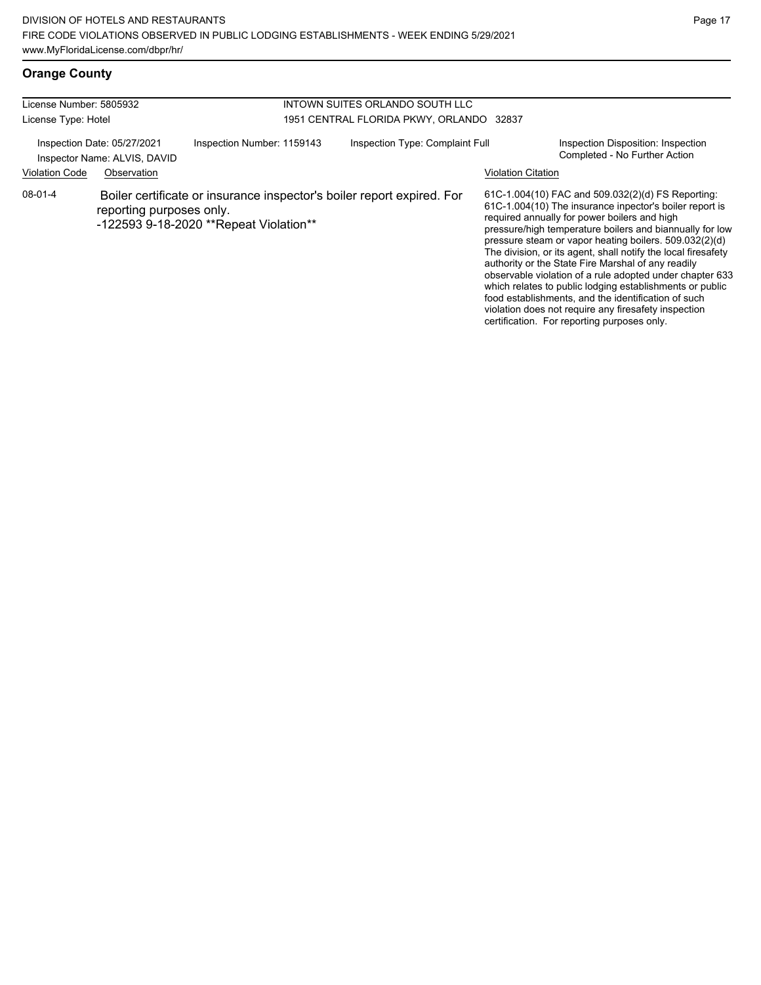# **Orange County**

| License Number: 5805932<br>License Type: Hotel                                                      |                          |                                                                                                                   | INTOWN SUITES ORLANDO SOUTH LLC<br>1951 CENTRAL FLORIDA PKWY, ORLANDO 32837 |  |                                                                                                                                                                                                                                                                                                                                                                                                                                                                                                                                                                                                                                                                                                 |
|-----------------------------------------------------------------------------------------------------|--------------------------|-------------------------------------------------------------------------------------------------------------------|-----------------------------------------------------------------------------|--|-------------------------------------------------------------------------------------------------------------------------------------------------------------------------------------------------------------------------------------------------------------------------------------------------------------------------------------------------------------------------------------------------------------------------------------------------------------------------------------------------------------------------------------------------------------------------------------------------------------------------------------------------------------------------------------------------|
| Inspection Date: 05/27/2021<br>Inspector Name: ALVIS, DAVID<br><b>Violation Code</b><br>Observation |                          | Inspection Number: 1159143                                                                                        | Inspection Type: Complaint Full                                             |  | Inspection Disposition: Inspection<br>Completed - No Further Action<br><b>Violation Citation</b>                                                                                                                                                                                                                                                                                                                                                                                                                                                                                                                                                                                                |
| 08-01-4                                                                                             | reporting purposes only. | Boiler certificate or insurance inspector's boiler report expired. For<br>-122593 9-18-2020 ** Repeat Violation** |                                                                             |  | 61C-1.004(10) FAC and 509.032(2)(d) FS Reporting:<br>61C-1.004(10) The insurance inpector's boiler report is<br>required annually for power boilers and high<br>pressure/high temperature boilers and biannually for low<br>pressure steam or vapor heating boilers. 509.032(2)(d)<br>The division, or its agent, shall notify the local firesafety<br>authority or the State Fire Marshal of any readily<br>observable violation of a rule adopted under chapter 633<br>which relates to public lodging establishments or public<br>food establishments, and the identification of such<br>violation does not require any firesafety inspection<br>certification. For reporting purposes only. |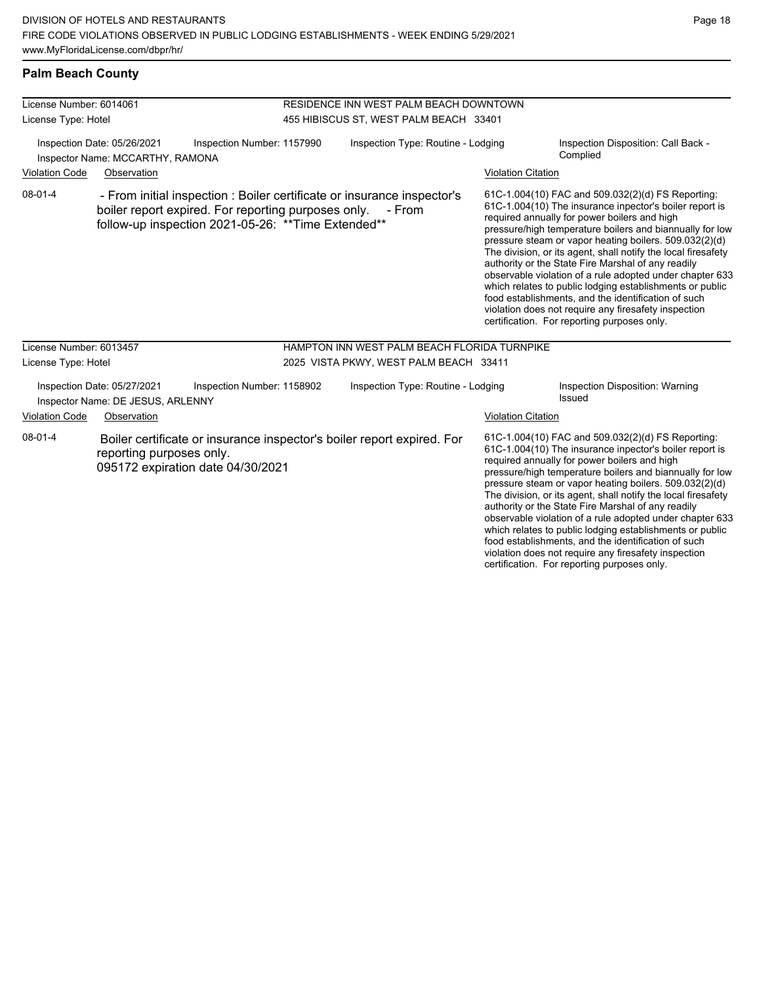## **Palm Beach County**

| License Number: 6014061 |                                                                  |                                                                                                            | RESIDENCE INN WEST PALM BEACH DOWNTOWN |                                                                                   |  |                           |                                                                                                                                                                                                                                                                                                                                                                                                                                                                                                                                                                                                                                                                                                 |  |
|-------------------------|------------------------------------------------------------------|------------------------------------------------------------------------------------------------------------|----------------------------------------|-----------------------------------------------------------------------------------|--|---------------------------|-------------------------------------------------------------------------------------------------------------------------------------------------------------------------------------------------------------------------------------------------------------------------------------------------------------------------------------------------------------------------------------------------------------------------------------------------------------------------------------------------------------------------------------------------------------------------------------------------------------------------------------------------------------------------------------------------|--|
| License Type: Hotel     |                                                                  | 455 HIBISCUS ST, WEST PALM BEACH 33401                                                                     |                                        |                                                                                   |  |                           |                                                                                                                                                                                                                                                                                                                                                                                                                                                                                                                                                                                                                                                                                                 |  |
|                         | Inspection Date: 05/26/2021<br>Inspector Name: MCCARTHY, RAMONA  | Inspection Number: 1157990                                                                                 | Inspection Type: Routine - Lodging     |                                                                                   |  |                           | Inspection Disposition: Call Back -<br>Complied                                                                                                                                                                                                                                                                                                                                                                                                                                                                                                                                                                                                                                                 |  |
| <b>Violation Code</b>   | Observation                                                      |                                                                                                            |                                        |                                                                                   |  | <b>Violation Citation</b> |                                                                                                                                                                                                                                                                                                                                                                                                                                                                                                                                                                                                                                                                                                 |  |
| $08 - 01 - 4$           |                                                                  | boiler report expired. For reporting purposes only.<br>follow-up inspection 2021-05-26: ** Time Extended** |                                        | - From initial inspection : Boiler certificate or insurance inspector's<br>- From |  |                           | 61C-1.004(10) FAC and 509.032(2)(d) FS Reporting:<br>61C-1.004(10) The insurance inpector's boiler report is<br>required annually for power boilers and high<br>pressure/high temperature boilers and biannually for low<br>pressure steam or vapor heating boilers. 509.032(2)(d)<br>The division, or its agent, shall notify the local firesafety<br>authority or the State Fire Marshal of any readily<br>observable violation of a rule adopted under chapter 633<br>which relates to public lodging establishments or public<br>food establishments, and the identification of such<br>violation does not require any firesafety inspection<br>certification. For reporting purposes only. |  |
| License Number: 6013457 |                                                                  |                                                                                                            |                                        | HAMPTON INN WEST PALM BEACH FLORIDA TURNPIKE                                      |  |                           |                                                                                                                                                                                                                                                                                                                                                                                                                                                                                                                                                                                                                                                                                                 |  |
| License Type: Hotel     |                                                                  |                                                                                                            | 2025 VISTA PKWY, WEST PALM BEACH 33411 |                                                                                   |  |                           |                                                                                                                                                                                                                                                                                                                                                                                                                                                                                                                                                                                                                                                                                                 |  |
|                         | Inspection Date: 05/27/2021<br>Inspector Name: DE JESUS, ARLENNY | Inspection Number: 1158902                                                                                 | Inspection Type: Routine - Lodging     |                                                                                   |  |                           | Inspection Disposition: Warning<br>Issued                                                                                                                                                                                                                                                                                                                                                                                                                                                                                                                                                                                                                                                       |  |
| Violation Code          | Observation                                                      |                                                                                                            |                                        |                                                                                   |  | <b>Violation Citation</b> |                                                                                                                                                                                                                                                                                                                                                                                                                                                                                                                                                                                                                                                                                                 |  |
| $08 - 01 - 4$           | reporting purposes only.                                         | 095172 expiration date 04/30/2021                                                                          |                                        | Boiler certificate or insurance inspector's boiler report expired. For            |  |                           | 61C-1.004(10) FAC and 509.032(2)(d) FS Reporting:<br>61C-1.004(10) The insurance inpector's boiler report is<br>required annually for power boilers and high<br>pressure/high temperature boilers and biannually for low<br>pressure steam or vapor heating boilers. 509.032(2)(d)<br>The division, or its agent, shall notify the local firesafety<br>authority or the State Fire Marshal of any readily<br>observable violation of a rule adopted under chapter 633<br>which relates to public lodging establishments or public<br>food establishments, and the identification of such<br>violation does not require any firesafety inspection                                                |  |

certification. For reporting purposes only.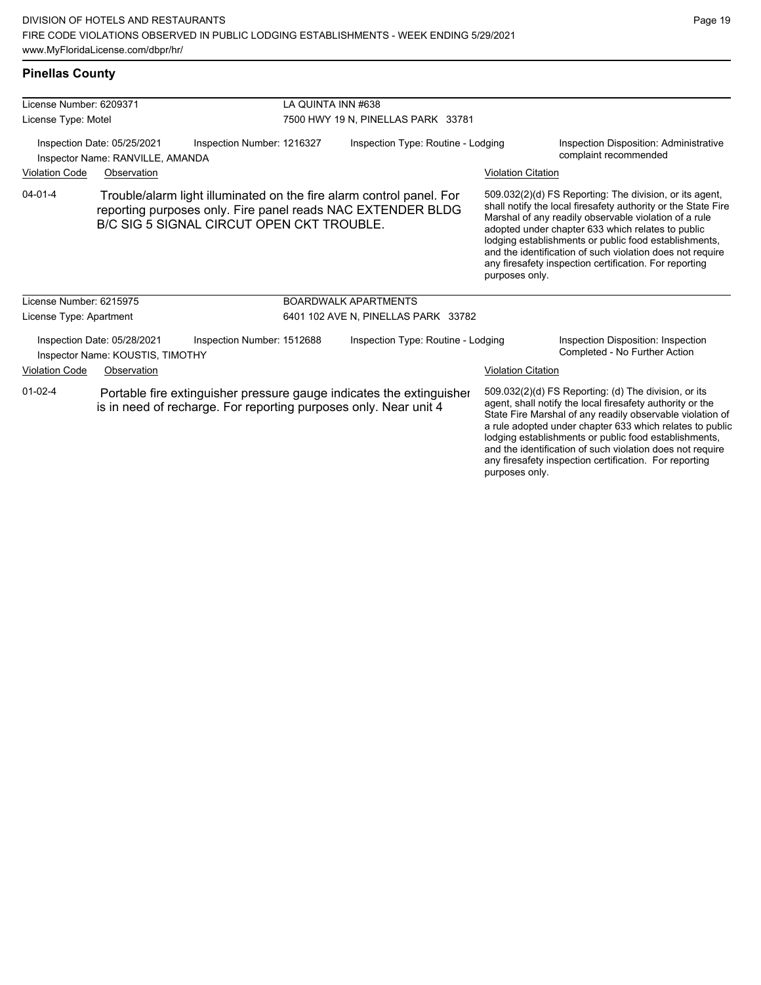| License Number: 6209371 |                                                                 |                                                                                                                                                                                  | LA QUINTA INN #638                  |                           |                                                                                                                                                                                                                                                                                                                                                                                                                        |  |  |
|-------------------------|-----------------------------------------------------------------|----------------------------------------------------------------------------------------------------------------------------------------------------------------------------------|-------------------------------------|---------------------------|------------------------------------------------------------------------------------------------------------------------------------------------------------------------------------------------------------------------------------------------------------------------------------------------------------------------------------------------------------------------------------------------------------------------|--|--|
| License Type: Motel     |                                                                 |                                                                                                                                                                                  | 7500 HWY 19 N, PINELLAS PARK 33781  |                           |                                                                                                                                                                                                                                                                                                                                                                                                                        |  |  |
|                         | Inspection Date: 05/25/2021<br>Inspector Name: RANVILLE, AMANDA | Inspection Number: 1216327                                                                                                                                                       | Inspection Type: Routine - Lodging  |                           | <b>Inspection Disposition: Administrative</b><br>complaint recommended                                                                                                                                                                                                                                                                                                                                                 |  |  |
| Violation Code          | Observation                                                     |                                                                                                                                                                                  |                                     | <b>Violation Citation</b> |                                                                                                                                                                                                                                                                                                                                                                                                                        |  |  |
| $04 - 01 - 4$           |                                                                 | Trouble/alarm light illuminated on the fire alarm control panel. For<br>reporting purposes only. Fire panel reads NAC EXTENDER BLDG<br>B/C SIG 5 SIGNAL CIRCUT OPEN CKT TROUBLE. |                                     | purposes only.            | 509.032(2)(d) FS Reporting: The division, or its agent,<br>shall notify the local firesafety authority or the State Fire<br>Marshal of any readily observable violation of a rule<br>adopted under chapter 633 which relates to public<br>lodging establishments or public food establishments,<br>and the identification of such violation does not require<br>any firesafety inspection certification. For reporting |  |  |
| License Number: 6215975 |                                                                 |                                                                                                                                                                                  | <b>BOARDWALK APARTMENTS</b>         |                           |                                                                                                                                                                                                                                                                                                                                                                                                                        |  |  |
| License Type: Apartment |                                                                 |                                                                                                                                                                                  | 6401 102 AVE N, PINELLAS PARK 33782 |                           |                                                                                                                                                                                                                                                                                                                                                                                                                        |  |  |
|                         | Inspection Date: 05/28/2021<br>Inspector Name: KOUSTIS, TIMOTHY | Inspection Number: 1512688                                                                                                                                                       | Inspection Type: Routine - Lodging  |                           | Inspection Disposition: Inspection<br>Completed - No Further Action                                                                                                                                                                                                                                                                                                                                                    |  |  |
| <b>Violation Code</b>   | Observation                                                     |                                                                                                                                                                                  |                                     | <b>Violation Citation</b> |                                                                                                                                                                                                                                                                                                                                                                                                                        |  |  |
| $01-02-4$               |                                                                 | Portable fire extinguisher pressure gauge indicates the extinguisher<br>is in need of recharge. For reporting purposes only. Near unit 4                                         |                                     |                           | 509.032(2)(d) FS Reporting: (d) The division, or its<br>agent, shall notify the local firesafety authority or the<br>State Fire Marshal of any readily observable violation of<br>a rule adopted under chapter 633 which relates to public                                                                                                                                                                             |  |  |

Page 19

lodging establishments or public food establishments, and the identification of such violation does not require any firesafety inspection certification. For reporting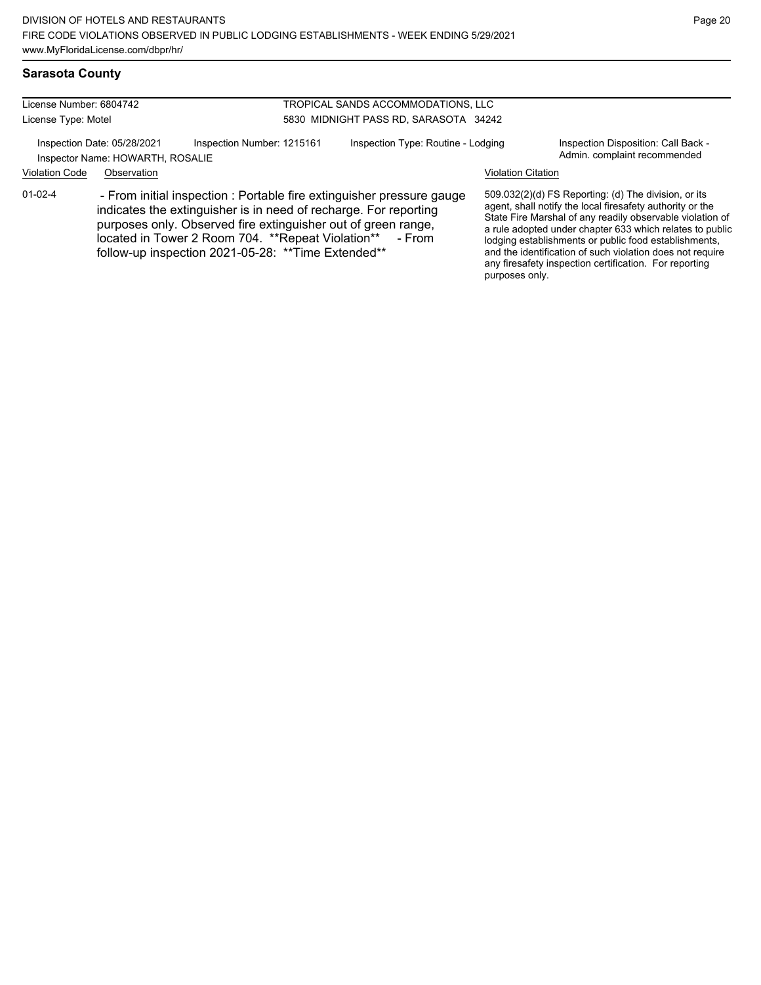any firesafety inspection certification. For reporting

purposes only.

#### **Sarasota County**

| License Number: 6804742 |                                                                 |                                                                                                                                                                                                                                                                                                                               | TROPICAL SANDS ACCOMMODATIONS, LLC    |                           |                                                                                                                                                                                                                                                                                                                                                                  |  |
|-------------------------|-----------------------------------------------------------------|-------------------------------------------------------------------------------------------------------------------------------------------------------------------------------------------------------------------------------------------------------------------------------------------------------------------------------|---------------------------------------|---------------------------|------------------------------------------------------------------------------------------------------------------------------------------------------------------------------------------------------------------------------------------------------------------------------------------------------------------------------------------------------------------|--|
| License Type: Motel     |                                                                 |                                                                                                                                                                                                                                                                                                                               | 5830 MIDNIGHT PASS RD, SARASOTA 34242 |                           |                                                                                                                                                                                                                                                                                                                                                                  |  |
|                         | Inspection Date: 05/28/2021<br>Inspector Name: HOWARTH, ROSALIE | Inspection Number: 1215161                                                                                                                                                                                                                                                                                                    | Inspection Type: Routine - Lodging    |                           | Inspection Disposition: Call Back -<br>Admin. complaint recommended                                                                                                                                                                                                                                                                                              |  |
| <b>Violation Code</b>   | Observation                                                     |                                                                                                                                                                                                                                                                                                                               |                                       | <b>Violation Citation</b> |                                                                                                                                                                                                                                                                                                                                                                  |  |
| $01-02-4$               |                                                                 | - From initial inspection : Portable fire extinguisher pressure gauge<br>indicates the extinguisher is in need of recharge. For reporting<br>purposes only. Observed fire extinguisher out of green range,<br>located in Tower 2 Room 704. **Repeat Violation** - From<br>follow-up inspection 2021-05-28: ** Time Extended** |                                       |                           | 509.032(2)(d) FS Reporting: (d) The division, or its<br>agent, shall notify the local firesafety authority or the<br>State Fire Marshal of any readily observable violation of<br>a rule adopted under chapter 633 which relates to public<br>lodging establishments or public food establishments,<br>and the identification of such violation does not require |  |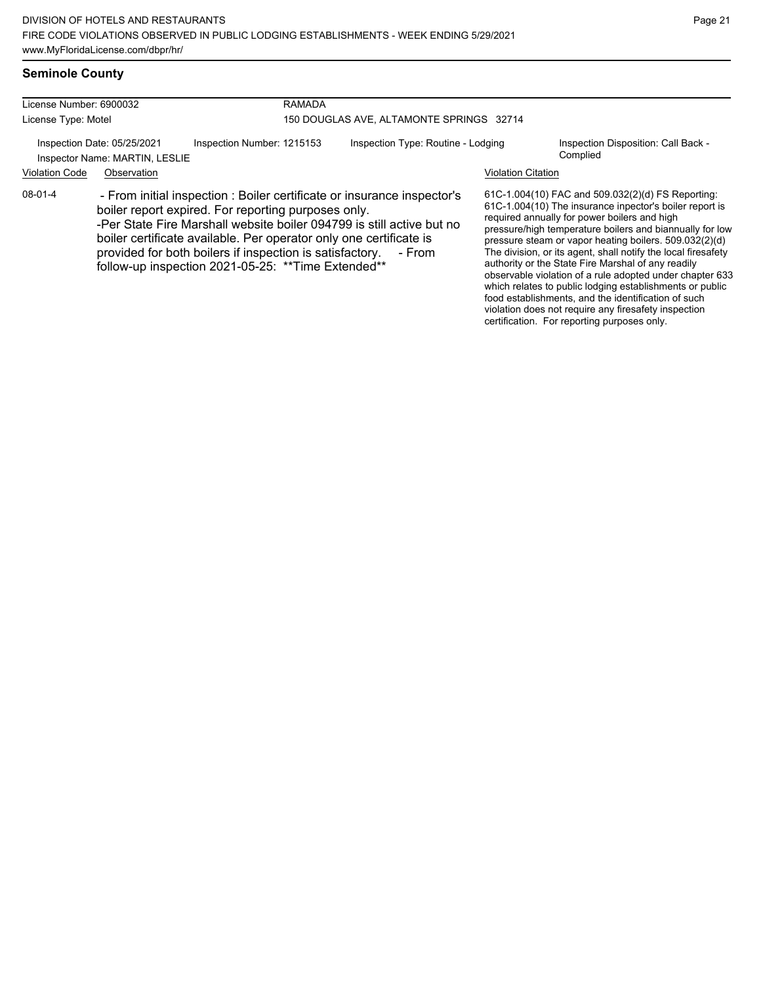violation does not require any firesafety inspection certification. For reporting purposes only.

# **Seminole County**

| License Number: 6900032                                       |                                                                                                                                                                                                                                                                                                                                                                                                            | <b>RAMADA</b>              |                                          |                           |                                                                                                                                                                                                                                                                                                                                                                                                                                                                                                                                                                                          |  |  |  |
|---------------------------------------------------------------|------------------------------------------------------------------------------------------------------------------------------------------------------------------------------------------------------------------------------------------------------------------------------------------------------------------------------------------------------------------------------------------------------------|----------------------------|------------------------------------------|---------------------------|------------------------------------------------------------------------------------------------------------------------------------------------------------------------------------------------------------------------------------------------------------------------------------------------------------------------------------------------------------------------------------------------------------------------------------------------------------------------------------------------------------------------------------------------------------------------------------------|--|--|--|
| License Type: Motel                                           |                                                                                                                                                                                                                                                                                                                                                                                                            |                            | 150 DOUGLAS AVE, ALTAMONTE SPRINGS 32714 |                           |                                                                                                                                                                                                                                                                                                                                                                                                                                                                                                                                                                                          |  |  |  |
| Inspection Date: 05/25/2021<br>Inspector Name: MARTIN, LESLIE |                                                                                                                                                                                                                                                                                                                                                                                                            | Inspection Number: 1215153 | Inspection Type: Routine - Lodging       |                           | Inspection Disposition: Call Back -<br>Complied                                                                                                                                                                                                                                                                                                                                                                                                                                                                                                                                          |  |  |  |
| <b>Violation Code</b>                                         | Observation                                                                                                                                                                                                                                                                                                                                                                                                |                            |                                          | <b>Violation Citation</b> |                                                                                                                                                                                                                                                                                                                                                                                                                                                                                                                                                                                          |  |  |  |
| $08-01-4$                                                     | - From initial inspection : Boiler certificate or insurance inspector's<br>boiler report expired. For reporting purposes only.<br>-Per State Fire Marshall website boiler 094799 is still active but no<br>boiler certificate available. Per operator only one certificate is<br>provided for both boilers if inspection is satisfactory.<br>- From<br>follow-up inspection 2021-05-25: ** Time Extended** |                            |                                          |                           | 61C-1.004(10) FAC and 509.032(2)(d) FS Reporting:<br>61C-1.004(10) The insurance inpector's boiler report is<br>required annually for power boilers and high<br>pressure/high temperature boilers and biannually for low<br>pressure steam or vapor heating boilers. 509.032(2)(d)<br>The division, or its agent, shall notify the local firesafety<br>authority or the State Fire Marshal of any readily<br>observable violation of a rule adopted under chapter 633<br>which relates to public lodging establishments or public<br>food establishments, and the identification of such |  |  |  |